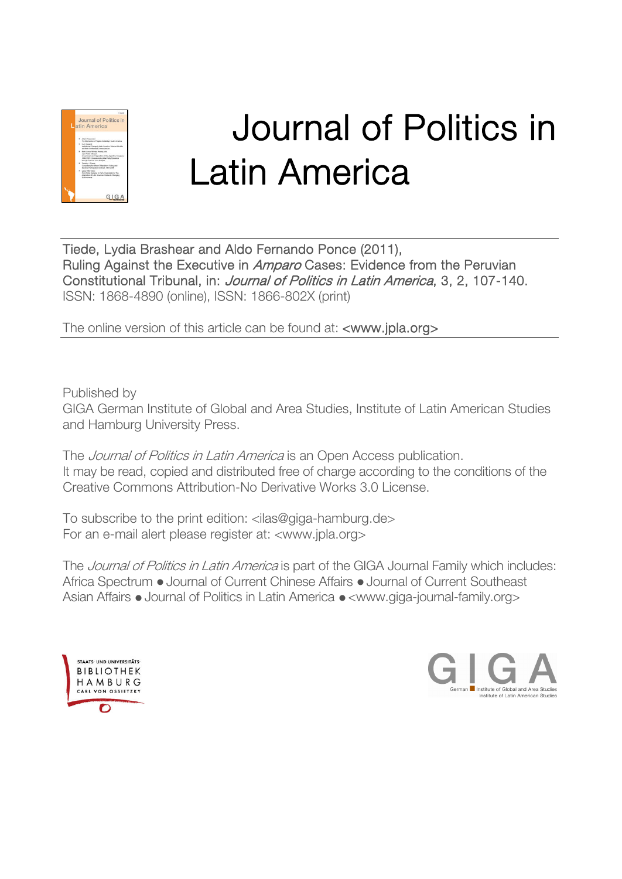

# Journal of Politics in Latin America

Tiede, Lydia Brashear and Aldo Fernando Ponce (2011), Ruling Against the Executive in Amparo Cases: Evidence from the Peruvian Constitutional Tribunal, in: Journal of Politics in Latin America, 3, 2, 107-140. ISSN: 1868-4890 (online), ISSN: 1866-802X (print)

The online version of this article can be found at: <www.jpla.org>

Published by

GIGA German Institute of Global and Area Studies, Institute of Latin American Studies and Hamburg University Press.

The *Journal of Politics in Latin America* is an Open Access publication. It may be read, copied and distributed free of charge according to the conditions of the Creative Commons Attribution-No Derivative Works 3.0 License.

To subscribe to the print edition: <ilas@giga-hamburg.de> For an e-mail alert please register at: <www.jpla.org>

The Journal of Politics in Latin America is part of the GIGA Journal Family which includes: Africa Spectrum • Journal of Current Chinese Affairs • Journal of Current Southeast Asian Affairs • Journal of Politics in Latin America • <www.giga-journal-family.org>



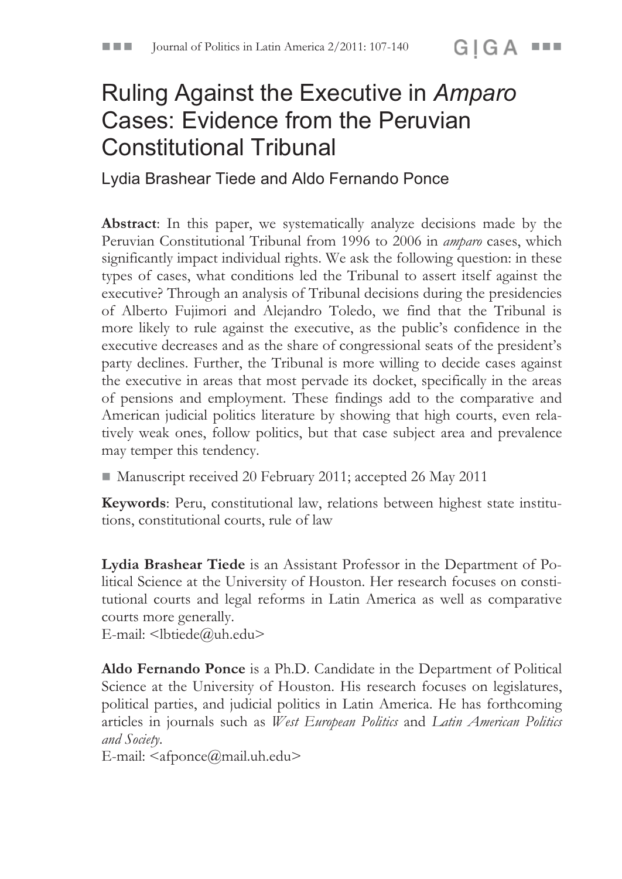# Ruling Against the Executive in *Amparo*  Cases: Evidence from the Peruvian Constitutional Tribunal

Lydia Brashear Tiede and Aldo Fernando Ponce

**Abstract**: In this paper, we systematically analyze decisions made by the Peruvian Constitutional Tribunal from 1996 to 2006 in *amparo* cases, which significantly impact individual rights. We ask the following question: in these types of cases, what conditions led the Tribunal to assert itself against the executive? Through an analysis of Tribunal decisions during the presidencies of Alberto Fujimori and Alejandro Toledo, we find that the Tribunal is more likely to rule against the executive, as the public's confidence in the executive decreases and as the share of congressional seats of the president's party declines. Further, the Tribunal is more willing to decide cases against the executive in areas that most pervade its docket, specifically in the areas of pensions and employment. These findings add to the comparative and American judicial politics literature by showing that high courts, even relatively weak ones, follow politics, but that case subject area and prevalence may temper this tendency.

! Manuscript received 20 February 2011; accepted 26 May 2011

**Keywords**: Peru, constitutional law, relations between highest state institutions, constitutional courts, rule of law

**Lydia Brashear Tiede** is an Assistant Professor in the Department of Political Science at the University of Houston. Her research focuses on constitutional courts and legal reforms in Latin America as well as comparative courts more generally.

E-mail:  $\leq$ lbtiede@uh.edu>

**Aldo Fernando Ponce** is a Ph.D. Candidate in the Department of Political Science at the University of Houston. His research focuses on legislatures, political parties, and judicial politics in Latin America. He has forthcoming articles in journals such as *West European Politics* and *Latin American Politics and Society*.

E-mail: <afponce@mail.uh.edu>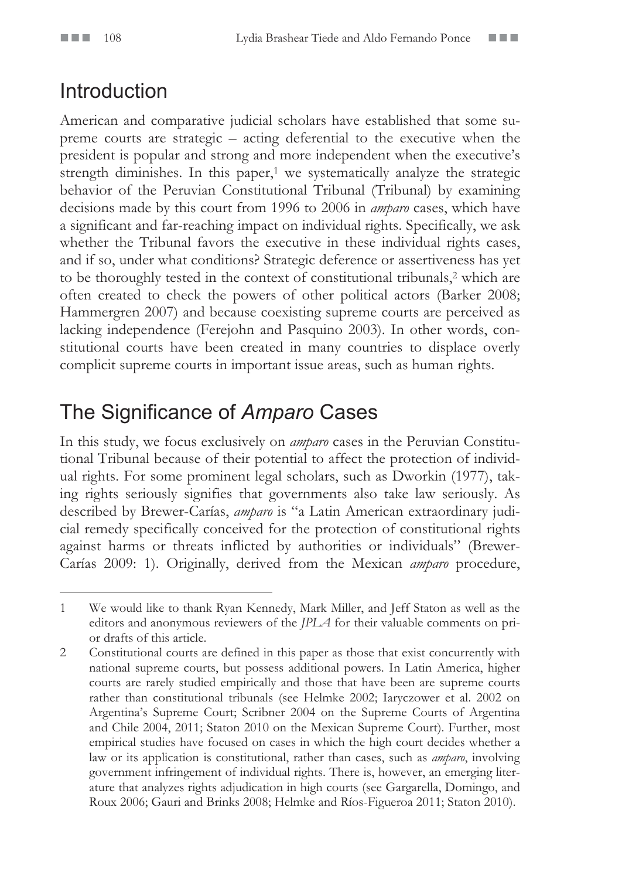### Introduction

American and comparative judicial scholars have established that some supreme courts are strategic – acting deferential to the executive when the president is popular and strong and more independent when the executive's strength diminishes. In this paper, $1$  we systematically analyze the strategic behavior of the Peruvian Constitutional Tribunal (Tribunal) by examining decisions made by this court from 1996 to 2006 in *amparo* cases, which have a significant and far-reaching impact on individual rights. Specifically, we ask whether the Tribunal favors the executive in these individual rights cases, and if so, under what conditions? Strategic deference or assertiveness has yet to be thoroughly tested in the context of constitutional tribunals,<sup>2</sup> which are often created to check the powers of other political actors (Barker 2008; Hammergren 2007) and because coexisting supreme courts are perceived as lacking independence (Ferejohn and Pasquino 2003). In other words, constitutional courts have been created in many countries to displace overly complicit supreme courts in important issue areas, such as human rights.

### The Significance of *Amparo* Cases

In this study, we focus exclusively on *amparo* cases in the Peruvian Constitutional Tribunal because of their potential to affect the protection of individual rights. For some prominent legal scholars, such as Dworkin (1977), taking rights seriously signifies that governments also take law seriously. As described by Brewer-Carías, *amparo* is "a Latin American extraordinary judicial remedy specifically conceived for the protection of constitutional rights against harms or threats inflicted by authorities or individuals" (Brewer-Carías 2009: 1). Originally, derived from the Mexican *amparo* procedure,

<sup>1</sup> We would like to thank Ryan Kennedy, Mark Miller, and Jeff Staton as well as the editors and anonymous reviewers of the *JPLA* for their valuable comments on prior drafts of this article.

<sup>2</sup> Constitutional courts are defined in this paper as those that exist concurrently with national supreme courts, but possess additional powers. In Latin America, higher courts are rarely studied empirically and those that have been are supreme courts rather than constitutional tribunals (see Helmke 2002; Iaryczower et al. 2002 on Argentina's Supreme Court; Scribner 2004 on the Supreme Courts of Argentina and Chile 2004, 2011; Staton 2010 on the Mexican Supreme Court). Further, most empirical studies have focused on cases in which the high court decides whether a law or its application is constitutional, rather than cases, such as *amparo*, involving government infringement of individual rights. There is, however, an emerging literature that analyzes rights adjudication in high courts (see Gargarella, Domingo, and Roux 2006; Gauri and Brinks 2008; Helmke and Ríos-Figueroa 2011; Staton 2010).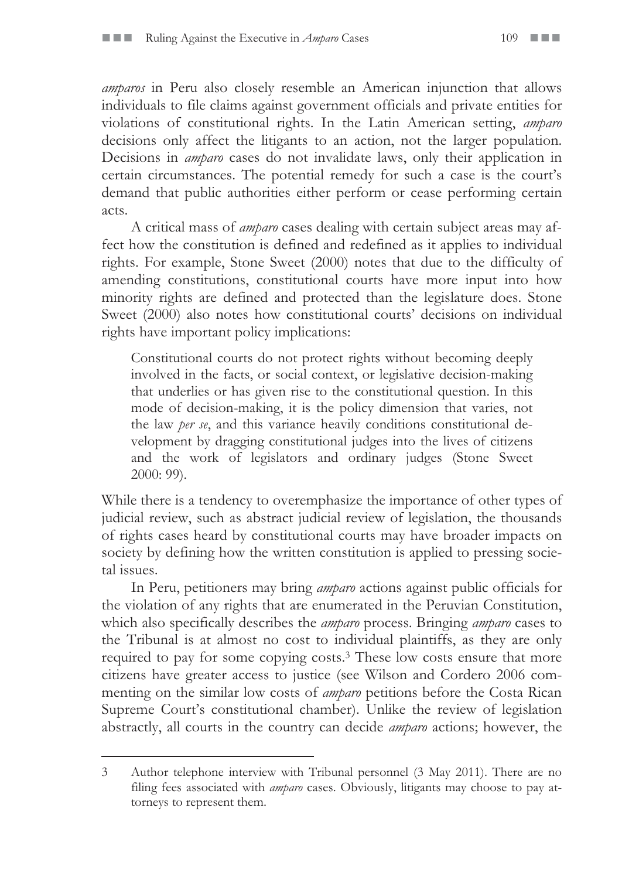*amparos* in Peru also closely resemble an American injunction that allows individuals to file claims against government officials and private entities for violations of constitutional rights. In the Latin American setting, *amparo* decisions only affect the litigants to an action, not the larger population. Decisions in *amparo* cases do not invalidate laws, only their application in certain circumstances. The potential remedy for such a case is the court's demand that public authorities either perform or cease performing certain acts.

A critical mass of *amparo* cases dealing with certain subject areas may affect how the constitution is defined and redefined as it applies to individual rights. For example, Stone Sweet (2000) notes that due to the difficulty of amending constitutions, constitutional courts have more input into how minority rights are defined and protected than the legislature does. Stone Sweet (2000) also notes how constitutional courts' decisions on individual rights have important policy implications:

Constitutional courts do not protect rights without becoming deeply involved in the facts, or social context, or legislative decision-making that underlies or has given rise to the constitutional question. In this mode of decision-making, it is the policy dimension that varies, not the law *per se*, and this variance heavily conditions constitutional development by dragging constitutional judges into the lives of citizens and the work of legislators and ordinary judges (Stone Sweet 2000: 99).

While there is a tendency to overemphasize the importance of other types of judicial review, such as abstract judicial review of legislation, the thousands of rights cases heard by constitutional courts may have broader impacts on society by defining how the written constitution is applied to pressing societal issues.

In Peru, petitioners may bring *amparo* actions against public officials for the violation of any rights that are enumerated in the Peruvian Constitution, which also specifically describes the *amparo* process. Bringing *amparo* cases to the Tribunal is at almost no cost to individual plaintiffs, as they are only required to pay for some copying costs.3 These low costs ensure that more citizens have greater access to justice (see Wilson and Cordero 2006 commenting on the similar low costs of *amparo* petitions before the Costa Rican Supreme Court's constitutional chamber). Unlike the review of legislation abstractly, all courts in the country can decide *amparo* actions; however, the

<sup>3</sup> Author telephone interview with Tribunal personnel (3 May 2011). There are no filing fees associated with *amparo* cases. Obviously, litigants may choose to pay attorneys to represent them.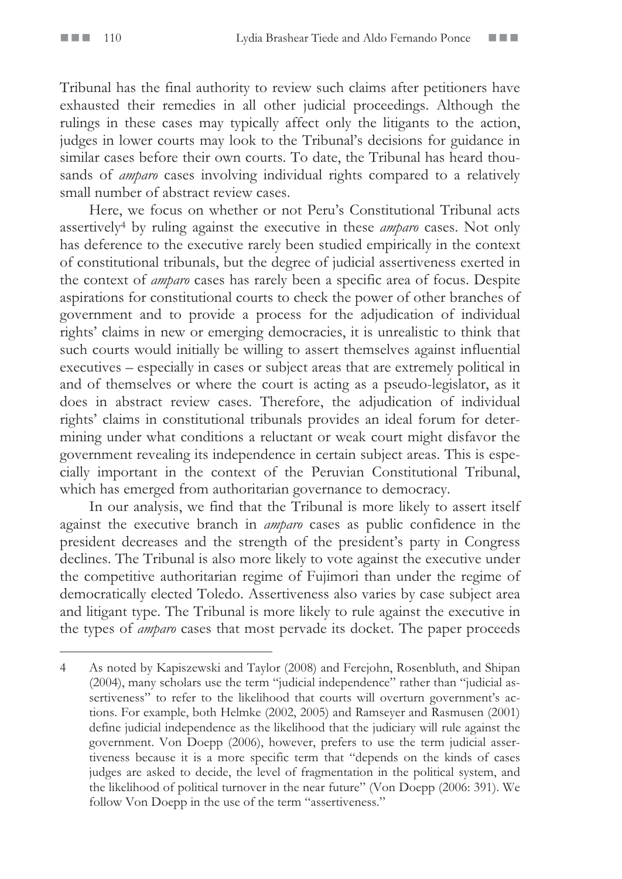Tribunal has the final authority to review such claims after petitioners have exhausted their remedies in all other judicial proceedings. Although the rulings in these cases may typically affect only the litigants to the action, judges in lower courts may look to the Tribunal's decisions for guidance in similar cases before their own courts. To date, the Tribunal has heard thousands of *amparo* cases involving individual rights compared to a relatively small number of abstract review cases.

Here, we focus on whether or not Peru's Constitutional Tribunal acts assertively4 by ruling against the executive in these *amparo* cases. Not only has deference to the executive rarely been studied empirically in the context of constitutional tribunals, but the degree of judicial assertiveness exerted in the context of *amparo* cases has rarely been a specific area of focus. Despite aspirations for constitutional courts to check the power of other branches of government and to provide a process for the adjudication of individual rights' claims in new or emerging democracies, it is unrealistic to think that such courts would initially be willing to assert themselves against influential executives – especially in cases or subject areas that are extremely political in and of themselves or where the court is acting as a pseudo-legislator, as it does in abstract review cases. Therefore, the adjudication of individual rights' claims in constitutional tribunals provides an ideal forum for determining under what conditions a reluctant or weak court might disfavor the government revealing its independence in certain subject areas. This is especially important in the context of the Peruvian Constitutional Tribunal, which has emerged from authoritarian governance to democracy.

In our analysis, we find that the Tribunal is more likely to assert itself against the executive branch in *amparo* cases as public confidence in the president decreases and the strength of the president's party in Congress declines. The Tribunal is also more likely to vote against the executive under the competitive authoritarian regime of Fujimori than under the regime of democratically elected Toledo. Assertiveness also varies by case subject area and litigant type. The Tribunal is more likely to rule against the executive in the types of *amparo* cases that most pervade its docket. The paper proceeds

<sup>4</sup> As noted by Kapiszewski and Taylor (2008) and Ferejohn, Rosenbluth, and Shipan (2004), many scholars use the term "judicial independence" rather than "judicial assertiveness" to refer to the likelihood that courts will overturn government's actions. For example, both Helmke (2002, 2005) and Ramseyer and Rasmusen (2001) define judicial independence as the likelihood that the judiciary will rule against the government. Von Doepp (2006), however, prefers to use the term judicial assertiveness because it is a more specific term that "depends on the kinds of cases judges are asked to decide, the level of fragmentation in the political system, and the likelihood of political turnover in the near future" (Von Doepp (2006: 391). We follow Von Doepp in the use of the term "assertiveness."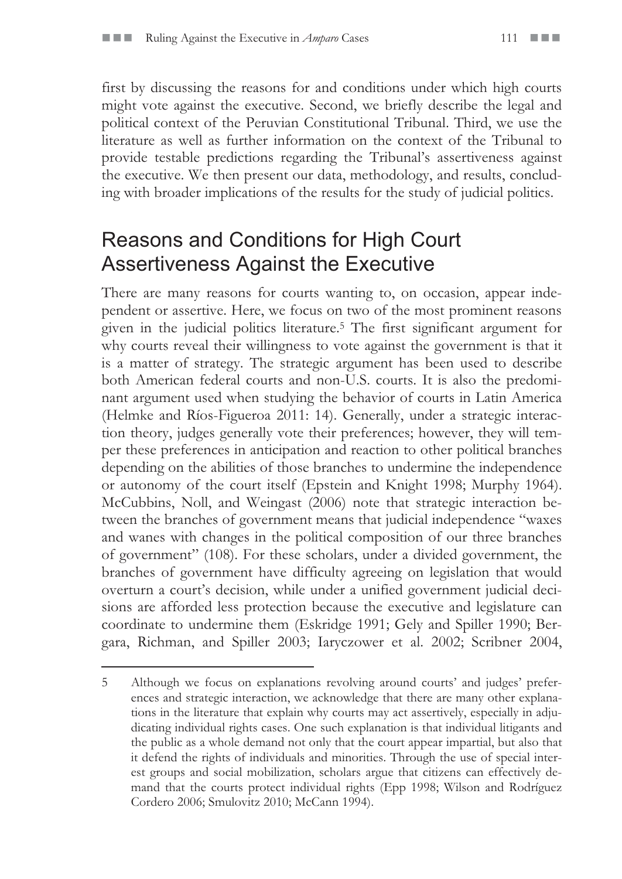first by discussing the reasons for and conditions under which high courts might vote against the executive. Second, we briefly describe the legal and political context of the Peruvian Constitutional Tribunal. Third, we use the literature as well as further information on the context of the Tribunal to provide testable predictions regarding the Tribunal's assertiveness against the executive. We then present our data, methodology, and results, concluding with broader implications of the results for the study of judicial politics.

### Reasons and Conditions for High Court Assertiveness Against the Executive

There are many reasons for courts wanting to, on occasion, appear independent or assertive. Here, we focus on two of the most prominent reasons given in the judicial politics literature.5 The first significant argument for why courts reveal their willingness to vote against the government is that it is a matter of strategy. The strategic argument has been used to describe both American federal courts and non-U.S. courts. It is also the predominant argument used when studying the behavior of courts in Latin America (Helmke and Ríos-Figueroa 2011: 14). Generally, under a strategic interaction theory, judges generally vote their preferences; however, they will temper these preferences in anticipation and reaction to other political branches depending on the abilities of those branches to undermine the independence or autonomy of the court itself (Epstein and Knight 1998; Murphy 1964). McCubbins, Noll, and Weingast (2006) note that strategic interaction between the branches of government means that judicial independence "waxes and wanes with changes in the political composition of our three branches of government" (108). For these scholars, under a divided government, the branches of government have difficulty agreeing on legislation that would overturn a court's decision, while under a unified government judicial decisions are afforded less protection because the executive and legislature can coordinate to undermine them (Eskridge 1991; Gely and Spiller 1990; Bergara, Richman, and Spiller 2003; Iaryczower et al. 2002; Scribner 2004,

<sup>5</sup> Although we focus on explanations revolving around courts' and judges' preferences and strategic interaction, we acknowledge that there are many other explanations in the literature that explain why courts may act assertively, especially in adjudicating individual rights cases. One such explanation is that individual litigants and the public as a whole demand not only that the court appear impartial, but also that it defend the rights of individuals and minorities. Through the use of special interest groups and social mobilization, scholars argue that citizens can effectively demand that the courts protect individual rights (Epp 1998; Wilson and Rodríguez Cordero 2006; Smulovitz 2010; McCann 1994).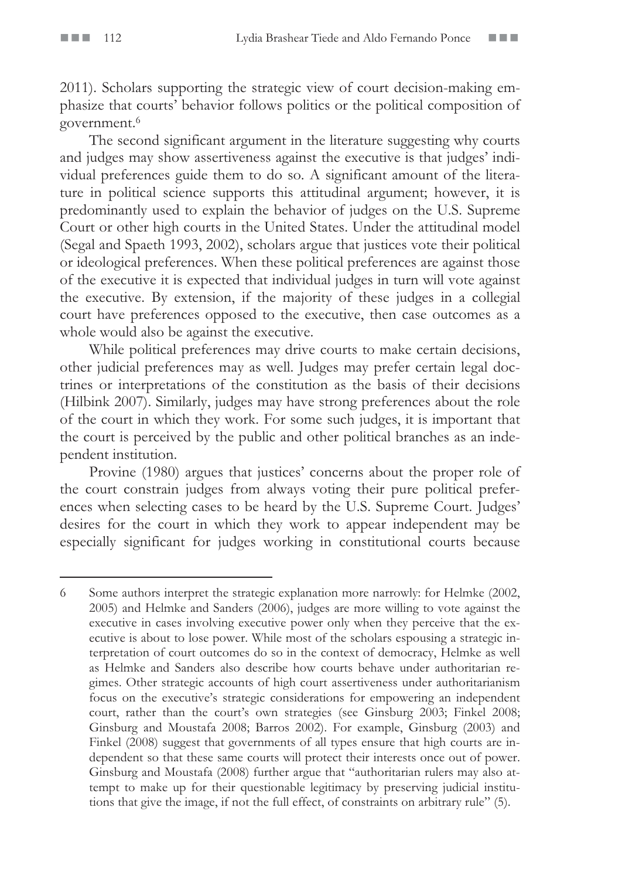2011). Scholars supporting the strategic view of court decision-making emphasize that courts' behavior follows politics or the political composition of government.6

The second significant argument in the literature suggesting why courts and judges may show assertiveness against the executive is that judges' individual preferences guide them to do so. A significant amount of the literature in political science supports this attitudinal argument; however, it is predominantly used to explain the behavior of judges on the U.S. Supreme Court or other high courts in the United States. Under the attitudinal model (Segal and Spaeth 1993, 2002), scholars argue that justices vote their political or ideological preferences. When these political preferences are against those of the executive it is expected that individual judges in turn will vote against the executive. By extension, if the majority of these judges in a collegial court have preferences opposed to the executive, then case outcomes as a whole would also be against the executive.

While political preferences may drive courts to make certain decisions, other judicial preferences may as well. Judges may prefer certain legal doctrines or interpretations of the constitution as the basis of their decisions (Hilbink 2007). Similarly, judges may have strong preferences about the role of the court in which they work. For some such judges, it is important that the court is perceived by the public and other political branches as an independent institution.

Provine (1980) argues that justices' concerns about the proper role of the court constrain judges from always voting their pure political preferences when selecting cases to be heard by the U.S. Supreme Court. Judges' desires for the court in which they work to appear independent may be especially significant for judges working in constitutional courts because

<sup>6</sup> Some authors interpret the strategic explanation more narrowly: for Helmke (2002, 2005) and Helmke and Sanders (2006), judges are more willing to vote against the executive in cases involving executive power only when they perceive that the executive is about to lose power. While most of the scholars espousing a strategic interpretation of court outcomes do so in the context of democracy, Helmke as well as Helmke and Sanders also describe how courts behave under authoritarian regimes. Other strategic accounts of high court assertiveness under authoritarianism focus on the executive's strategic considerations for empowering an independent court, rather than the court's own strategies (see Ginsburg 2003; Finkel 2008; Ginsburg and Moustafa 2008; Barros 2002). For example, Ginsburg (2003) and Finkel (2008) suggest that governments of all types ensure that high courts are independent so that these same courts will protect their interests once out of power. Ginsburg and Moustafa (2008) further argue that "authoritarian rulers may also attempt to make up for their questionable legitimacy by preserving judicial institutions that give the image, if not the full effect, of constraints on arbitrary rule" (5).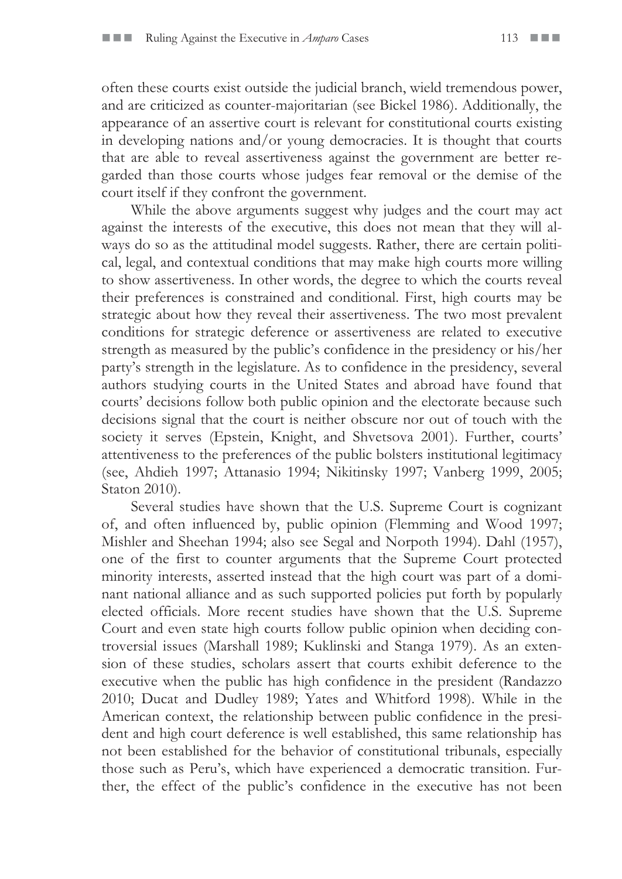often these courts exist outside the judicial branch, wield tremendous power, and are criticized as counter-majoritarian (see Bickel 1986). Additionally, the appearance of an assertive court is relevant for constitutional courts existing in developing nations and/or young democracies. It is thought that courts that are able to reveal assertiveness against the government are better regarded than those courts whose judges fear removal or the demise of the court itself if they confront the government.

While the above arguments suggest why judges and the court may act against the interests of the executive, this does not mean that they will always do so as the attitudinal model suggests. Rather, there are certain political, legal, and contextual conditions that may make high courts more willing to show assertiveness. In other words, the degree to which the courts reveal their preferences is constrained and conditional. First, high courts may be strategic about how they reveal their assertiveness. The two most prevalent conditions for strategic deference or assertiveness are related to executive strength as measured by the public's confidence in the presidency or his/her party's strength in the legislature. As to confidence in the presidency, several authors studying courts in the United States and abroad have found that courts' decisions follow both public opinion and the electorate because such decisions signal that the court is neither obscure nor out of touch with the society it serves (Epstein, Knight, and Shvetsova 2001). Further, courts' attentiveness to the preferences of the public bolsters institutional legitimacy (see, Ahdieh 1997; Attanasio 1994; Nikitinsky 1997; Vanberg 1999, 2005; Staton 2010).

Several studies have shown that the U.S. Supreme Court is cognizant of, and often influenced by, public opinion (Flemming and Wood 1997; Mishler and Sheehan 1994; also see Segal and Norpoth 1994). Dahl (1957), one of the first to counter arguments that the Supreme Court protected minority interests, asserted instead that the high court was part of a dominant national alliance and as such supported policies put forth by popularly elected officials. More recent studies have shown that the U.S. Supreme Court and even state high courts follow public opinion when deciding controversial issues (Marshall 1989; Kuklinski and Stanga 1979). As an extension of these studies, scholars assert that courts exhibit deference to the executive when the public has high confidence in the president (Randazzo 2010; Ducat and Dudley 1989; Yates and Whitford 1998). While in the American context, the relationship between public confidence in the president and high court deference is well established, this same relationship has not been established for the behavior of constitutional tribunals, especially those such as Peru's, which have experienced a democratic transition. Further, the effect of the public's confidence in the executive has not been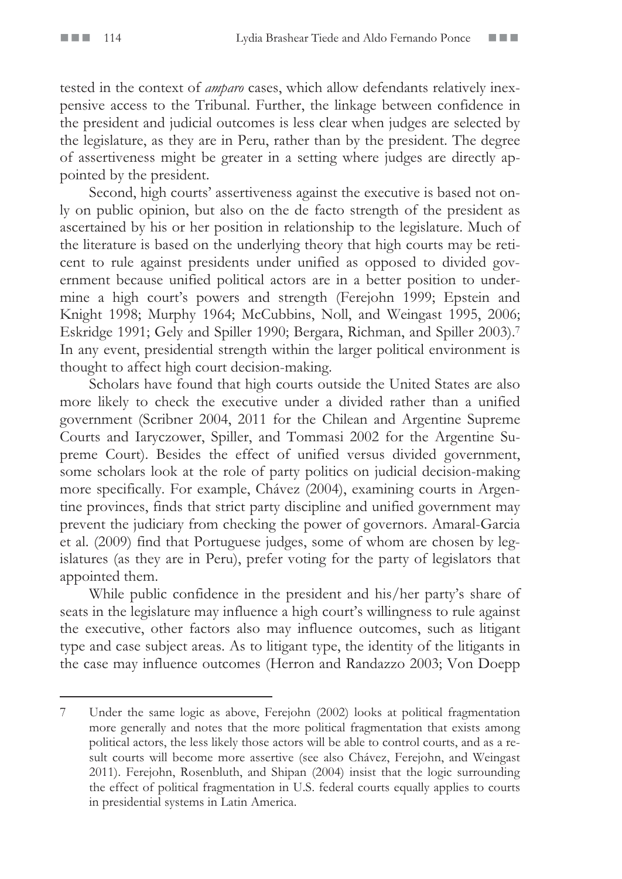tested in the context of *amparo* cases, which allow defendants relatively inexpensive access to the Tribunal. Further, the linkage between confidence in the president and judicial outcomes is less clear when judges are selected by the legislature, as they are in Peru, rather than by the president. The degree of assertiveness might be greater in a setting where judges are directly appointed by the president.

Second, high courts' assertiveness against the executive is based not only on public opinion, but also on the de facto strength of the president as ascertained by his or her position in relationship to the legislature. Much of the literature is based on the underlying theory that high courts may be reticent to rule against presidents under unified as opposed to divided government because unified political actors are in a better position to undermine a high court's powers and strength (Ferejohn 1999; Epstein and Knight 1998; Murphy 1964; McCubbins, Noll, and Weingast 1995, 2006; Eskridge 1991; Gely and Spiller 1990; Bergara, Richman, and Spiller 2003).7 In any event, presidential strength within the larger political environment is thought to affect high court decision-making.

Scholars have found that high courts outside the United States are also more likely to check the executive under a divided rather than a unified government (Scribner 2004, 2011 for the Chilean and Argentine Supreme Courts and Iaryczower, Spiller, and Tommasi 2002 for the Argentine Supreme Court). Besides the effect of unified versus divided government, some scholars look at the role of party politics on judicial decision-making more specifically. For example, Chávez (2004), examining courts in Argentine provinces, finds that strict party discipline and unified government may prevent the judiciary from checking the power of governors. Amaral-Garcia et al. (2009) find that Portuguese judges, some of whom are chosen by legislatures (as they are in Peru), prefer voting for the party of legislators that appointed them.

While public confidence in the president and his/her party's share of seats in the legislature may influence a high court's willingness to rule against the executive, other factors also may influence outcomes, such as litigant type and case subject areas. As to litigant type, the identity of the litigants in the case may influence outcomes (Herron and Randazzo 2003; Von Doepp

<sup>7</sup> Under the same logic as above, Ferejohn (2002) looks at political fragmentation more generally and notes that the more political fragmentation that exists among political actors, the less likely those actors will be able to control courts, and as a result courts will become more assertive (see also Chávez, Ferejohn, and Weingast 2011). Ferejohn, Rosenbluth, and Shipan (2004) insist that the logic surrounding the effect of political fragmentation in U.S. federal courts equally applies to courts in presidential systems in Latin America.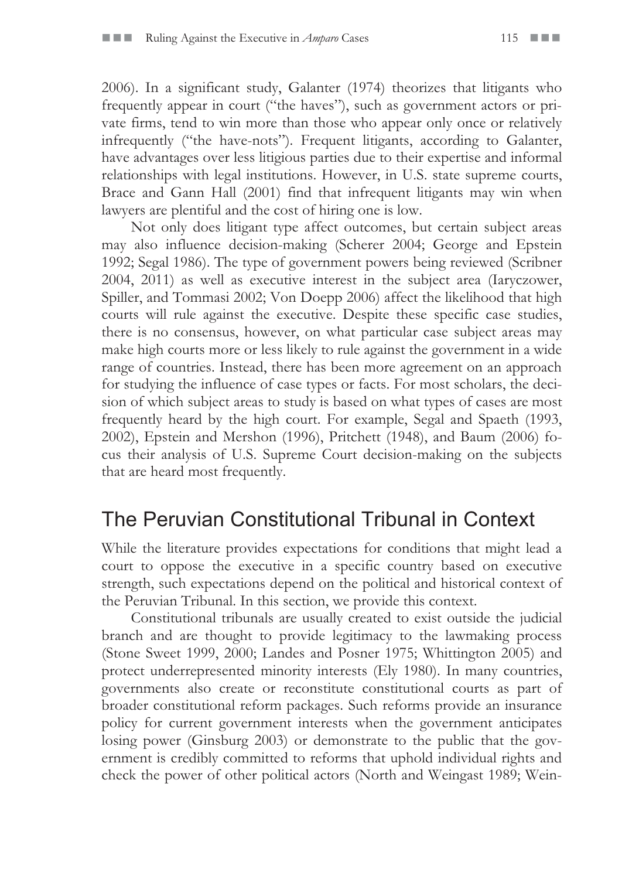2006). In a significant study, Galanter (1974) theorizes that litigants who frequently appear in court ("the haves"), such as government actors or private firms, tend to win more than those who appear only once or relatively infrequently ("the have-nots"). Frequent litigants, according to Galanter, have advantages over less litigious parties due to their expertise and informal relationships with legal institutions. However, in U.S. state supreme courts, Brace and Gann Hall (2001) find that infrequent litigants may win when lawyers are plentiful and the cost of hiring one is low.

Not only does litigant type affect outcomes, but certain subject areas may also influence decision-making (Scherer 2004; George and Epstein 1992; Segal 1986). The type of government powers being reviewed (Scribner 2004, 2011) as well as executive interest in the subject area (Iaryczower, Spiller, and Tommasi 2002; Von Doepp 2006) affect the likelihood that high courts will rule against the executive. Despite these specific case studies, there is no consensus, however, on what particular case subject areas may make high courts more or less likely to rule against the government in a wide range of countries. Instead, there has been more agreement on an approach for studying the influence of case types or facts. For most scholars, the decision of which subject areas to study is based on what types of cases are most frequently heard by the high court. For example, Segal and Spaeth (1993, 2002), Epstein and Mershon (1996), Pritchett (1948), and Baum (2006) focus their analysis of U.S. Supreme Court decision-making on the subjects that are heard most frequently.

### The Peruvian Constitutional Tribunal in Context

While the literature provides expectations for conditions that might lead a court to oppose the executive in a specific country based on executive strength, such expectations depend on the political and historical context of the Peruvian Tribunal. In this section, we provide this context.

Constitutional tribunals are usually created to exist outside the judicial branch and are thought to provide legitimacy to the lawmaking process (Stone Sweet 1999, 2000; Landes and Posner 1975; Whittington 2005) and protect underrepresented minority interests (Ely 1980). In many countries, governments also create or reconstitute constitutional courts as part of broader constitutional reform packages. Such reforms provide an insurance policy for current government interests when the government anticipates losing power (Ginsburg 2003) or demonstrate to the public that the government is credibly committed to reforms that uphold individual rights and check the power of other political actors (North and Weingast 1989; Wein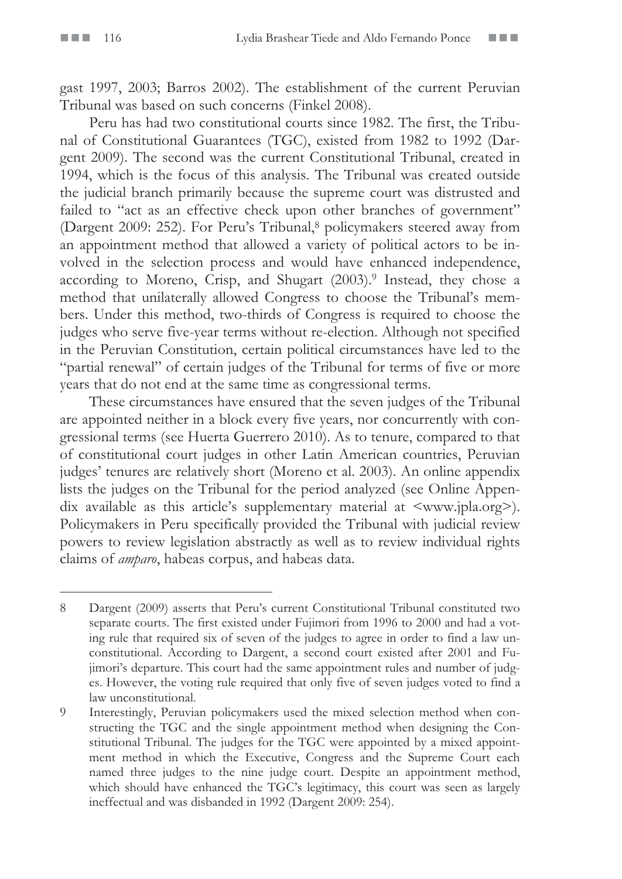gast 1997, 2003; Barros 2002). The establishment of the current Peruvian Tribunal was based on such concerns (Finkel 2008).

Peru has had two constitutional courts since 1982. The first, the Tribunal of Constitutional Guarantees (TGC), existed from 1982 to 1992 (Dargent 2009). The second was the current Constitutional Tribunal, created in 1994, which is the focus of this analysis. The Tribunal was created outside the judicial branch primarily because the supreme court was distrusted and failed to "act as an effective check upon other branches of government" (Dargent 2009: 252). For Peru's Tribunal,<sup>8</sup> policymakers steered away from an appointment method that allowed a variety of political actors to be involved in the selection process and would have enhanced independence, according to Moreno, Crisp, and Shugart (2003).9 Instead, they chose a method that unilaterally allowed Congress to choose the Tribunal's members. Under this method, two-thirds of Congress is required to choose the judges who serve five-year terms without re-election. Although not specified in the Peruvian Constitution, certain political circumstances have led to the "partial renewal" of certain judges of the Tribunal for terms of five or more years that do not end at the same time as congressional terms.

These circumstances have ensured that the seven judges of the Tribunal are appointed neither in a block every five years, nor concurrently with congressional terms (see Huerta Guerrero 2010). As to tenure, compared to that of constitutional court judges in other Latin American countries, Peruvian judges' tenures are relatively short (Moreno et al. 2003). An online appendix lists the judges on the Tribunal for the period analyzed (see Online Appendix available as this article's supplementary material at <www.jpla.org>). Policymakers in Peru specifically provided the Tribunal with judicial review powers to review legislation abstractly as well as to review individual rights claims of *amparo*, habeas corpus, and habeas data.

<sup>8</sup> Dargent (2009) asserts that Peru's current Constitutional Tribunal constituted two separate courts. The first existed under Fujimori from 1996 to 2000 and had a voting rule that required six of seven of the judges to agree in order to find a law unconstitutional. According to Dargent, a second court existed after 2001 and Fujimori's departure. This court had the same appointment rules and number of judges. However, the voting rule required that only five of seven judges voted to find a law unconstitutional.

<sup>9</sup> Interestingly, Peruvian policymakers used the mixed selection method when constructing the TGC and the single appointment method when designing the Constitutional Tribunal. The judges for the TGC were appointed by a mixed appointment method in which the Executive, Congress and the Supreme Court each named three judges to the nine judge court. Despite an appointment method, which should have enhanced the TGC's legitimacy, this court was seen as largely ineffectual and was disbanded in 1992 (Dargent 2009: 254).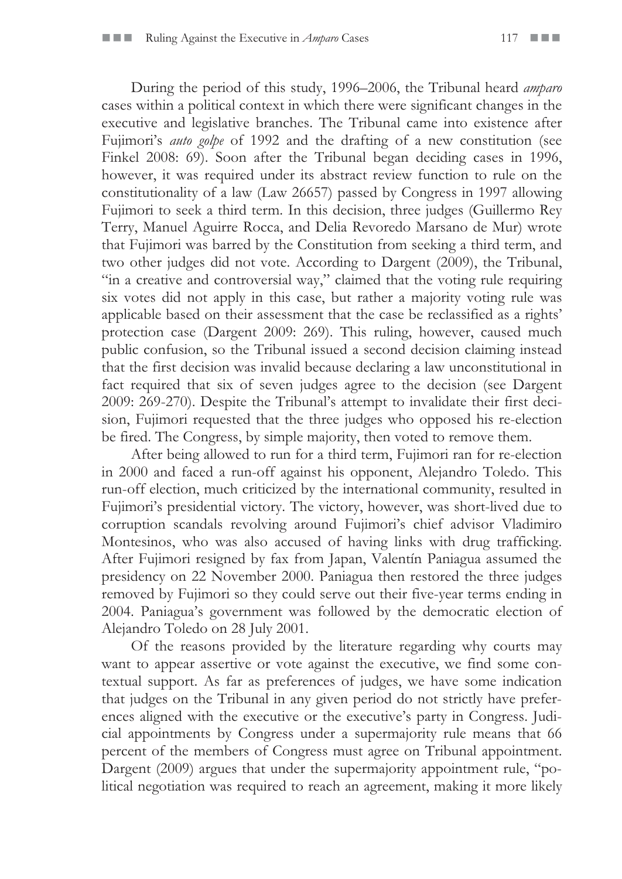During the period of this study, 1996–2006, the Tribunal heard *amparo* cases within a political context in which there were significant changes in the executive and legislative branches. The Tribunal came into existence after Fujimori's *auto golpe* of 1992 and the drafting of a new constitution (see Finkel 2008: 69). Soon after the Tribunal began deciding cases in 1996, however, it was required under its abstract review function to rule on the constitutionality of a law (Law 26657) passed by Congress in 1997 allowing Fujimori to seek a third term. In this decision, three judges (Guillermo Rey Terry, Manuel Aguirre Rocca, and Delia Revoredo Marsano de Mur) wrote that Fujimori was barred by the Constitution from seeking a third term, and two other judges did not vote. According to Dargent (2009), the Tribunal, "in a creative and controversial way," claimed that the voting rule requiring six votes did not apply in this case, but rather a majority voting rule was applicable based on their assessment that the case be reclassified as a rights' protection case (Dargent 2009: 269). This ruling, however, caused much public confusion, so the Tribunal issued a second decision claiming instead that the first decision was invalid because declaring a law unconstitutional in fact required that six of seven judges agree to the decision (see Dargent 2009: 269-270). Despite the Tribunal's attempt to invalidate their first decision, Fujimori requested that the three judges who opposed his re-election be fired. The Congress, by simple majority, then voted to remove them.

After being allowed to run for a third term, Fujimori ran for re-election in 2000 and faced a run-off against his opponent, Alejandro Toledo. This run-off election, much criticized by the international community, resulted in Fujimori's presidential victory. The victory, however, was short-lived due to corruption scandals revolving around Fujimori's chief advisor Vladimiro Montesinos, who was also accused of having links with drug trafficking. After Fujimori resigned by fax from Japan, Valentín Paniagua assumed the presidency on 22 November 2000. Paniagua then restored the three judges removed by Fujimori so they could serve out their five-year terms ending in 2004. Paniagua's government was followed by the democratic election of Alejandro Toledo on 28 July 2001.

Of the reasons provided by the literature regarding why courts may want to appear assertive or vote against the executive, we find some contextual support. As far as preferences of judges, we have some indication that judges on the Tribunal in any given period do not strictly have preferences aligned with the executive or the executive's party in Congress. Judicial appointments by Congress under a supermajority rule means that 66 percent of the members of Congress must agree on Tribunal appointment. Dargent (2009) argues that under the supermajority appointment rule, "political negotiation was required to reach an agreement, making it more likely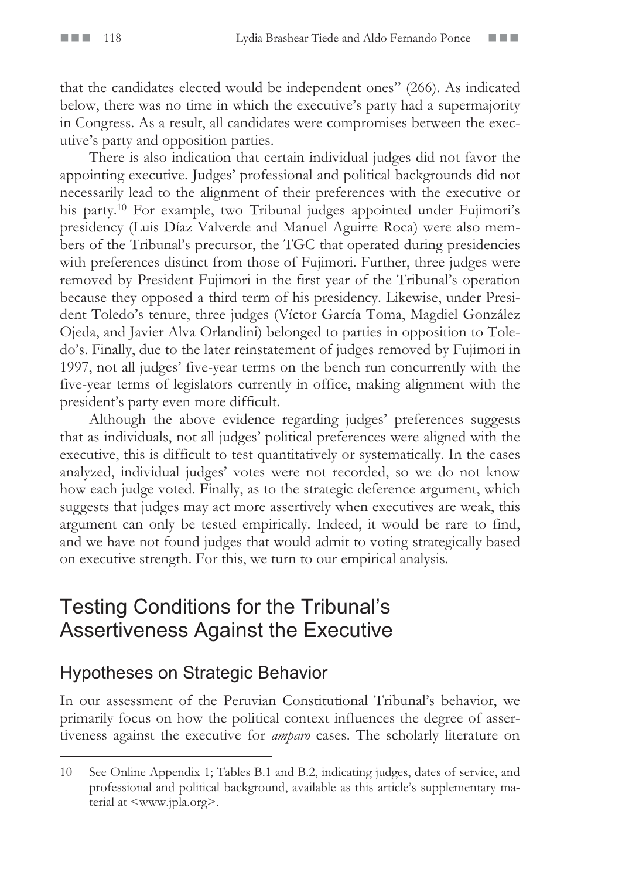that the candidates elected would be independent ones" (266). As indicated below, there was no time in which the executive's party had a supermajority in Congress. As a result, all candidates were compromises between the executive's party and opposition parties.

There is also indication that certain individual judges did not favor the appointing executive. Judges' professional and political backgrounds did not necessarily lead to the alignment of their preferences with the executive or his party.<sup>10</sup> For example, two Tribunal judges appointed under Fujimori's presidency (Luis Díaz Valverde and Manuel Aguirre Roca) were also members of the Tribunal's precursor, the TGC that operated during presidencies with preferences distinct from those of Fujimori. Further, three judges were removed by President Fujimori in the first year of the Tribunal's operation because they opposed a third term of his presidency. Likewise, under President Toledo's tenure, three judges (Víctor García Toma, Magdiel González Ojeda, and Javier Alva Orlandini) belonged to parties in opposition to Toledo's. Finally, due to the later reinstatement of judges removed by Fujimori in 1997, not all judges' five-year terms on the bench run concurrently with the five-year terms of legislators currently in office, making alignment with the president's party even more difficult.

Although the above evidence regarding judges' preferences suggests that as individuals, not all judges' political preferences were aligned with the executive, this is difficult to test quantitatively or systematically. In the cases analyzed, individual judges' votes were not recorded, so we do not know how each judge voted. Finally, as to the strategic deference argument, which suggests that judges may act more assertively when executives are weak, this argument can only be tested empirically. Indeed, it would be rare to find, and we have not found judges that would admit to voting strategically based on executive strength. For this, we turn to our empirical analysis.

### Testing Conditions for the Tribunal's Assertiveness Against the Executive

### Hypotheses on Strategic Behavior

In our assessment of the Peruvian Constitutional Tribunal's behavior, we primarily focus on how the political context influences the degree of assertiveness against the executive for *amparo* cases. The scholarly literature on

<sup>10</sup> See Online Appendix 1; Tables B.1 and B.2, indicating judges, dates of service, and professional and political background, available as this article's supplementary material at <www.jpla.org>.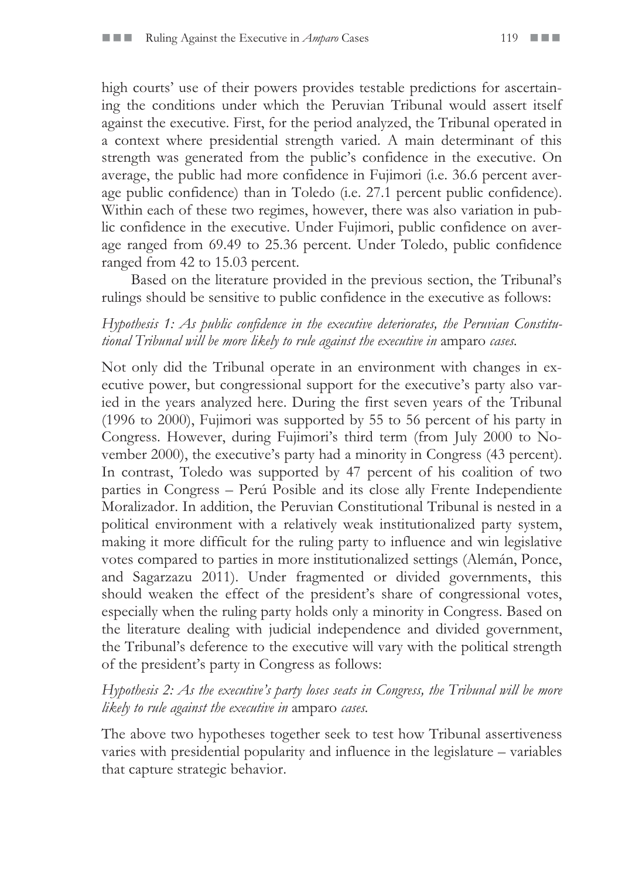high courts' use of their powers provides testable predictions for ascertaining the conditions under which the Peruvian Tribunal would assert itself against the executive. First, for the period analyzed, the Tribunal operated in a context where presidential strength varied. A main determinant of this strength was generated from the public's confidence in the executive. On average, the public had more confidence in Fujimori (i.e. 36.6 percent average public confidence) than in Toledo (i.e. 27.1 percent public confidence). Within each of these two regimes, however, there was also variation in public confidence in the executive. Under Fujimori, public confidence on average ranged from 69.49 to 25.36 percent. Under Toledo, public confidence ranged from 42 to 15.03 percent.

Based on the literature provided in the previous section, the Tribunal's rulings should be sensitive to public confidence in the executive as follows:

#### *Hypothesis 1: As public confidence in the executive deteriorates, the Peruvian Constitutional Tribunal will be more likely to rule against the executive in* amparo *cases.*

Not only did the Tribunal operate in an environment with changes in executive power, but congressional support for the executive's party also varied in the years analyzed here. During the first seven years of the Tribunal (1996 to 2000), Fujimori was supported by 55 to 56 percent of his party in Congress. However, during Fujimori's third term (from July 2000 to November 2000), the executive's party had a minority in Congress (43 percent). In contrast, Toledo was supported by 47 percent of his coalition of two parties in Congress – Perú Posible and its close ally Frente Independiente Moralizador. In addition, the Peruvian Constitutional Tribunal is nested in a political environment with a relatively weak institutionalized party system, making it more difficult for the ruling party to influence and win legislative votes compared to parties in more institutionalized settings (Alemán, Ponce, and Sagarzazu 2011). Under fragmented or divided governments, this should weaken the effect of the president's share of congressional votes, especially when the ruling party holds only a minority in Congress. Based on the literature dealing with judicial independence and divided government, the Tribunal's deference to the executive will vary with the political strength of the president's party in Congress as follows:

#### *Hypothesis 2: As the executive's party loses seats in Congress, the Tribunal will be more likely to rule against the executive in* amparo *cases.*

The above two hypotheses together seek to test how Tribunal assertiveness varies with presidential popularity and influence in the legislature – variables that capture strategic behavior.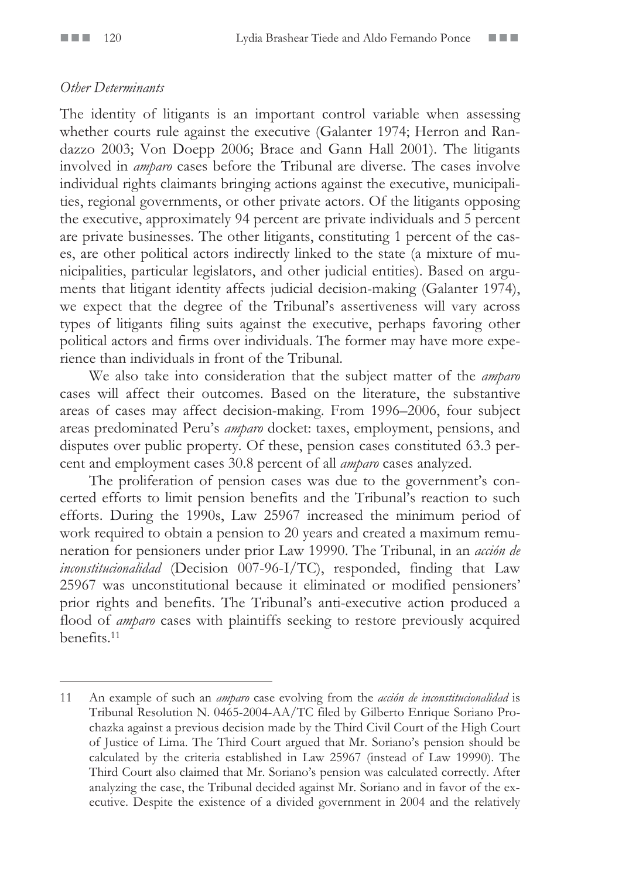#### *Other Determinants*

The identity of litigants is an important control variable when assessing whether courts rule against the executive (Galanter 1974; Herron and Randazzo 2003; Von Doepp 2006; Brace and Gann Hall 2001). The litigants involved in *amparo* cases before the Tribunal are diverse. The cases involve individual rights claimants bringing actions against the executive, municipalities, regional governments, or other private actors. Of the litigants opposing the executive, approximately 94 percent are private individuals and 5 percent are private businesses. The other litigants, constituting 1 percent of the cases, are other political actors indirectly linked to the state (a mixture of municipalities, particular legislators, and other judicial entities). Based on arguments that litigant identity affects judicial decision-making (Galanter 1974), we expect that the degree of the Tribunal's assertiveness will vary across types of litigants filing suits against the executive, perhaps favoring other political actors and firms over individuals. The former may have more experience than individuals in front of the Tribunal.

We also take into consideration that the subject matter of the *amparo* cases will affect their outcomes. Based on the literature, the substantive areas of cases may affect decision-making. From 1996–2006, four subject areas predominated Peru's *amparo* docket: taxes, employment, pensions, and disputes over public property. Of these, pension cases constituted 63.3 percent and employment cases 30.8 percent of all *amparo* cases analyzed.

The proliferation of pension cases was due to the government's concerted efforts to limit pension benefits and the Tribunal's reaction to such efforts. During the 1990s, Law 25967 increased the minimum period of work required to obtain a pension to 20 years and created a maximum remuneration for pensioners under prior Law 19990. The Tribunal, in an *acción de inconstitucionalidad* (Decision 007-96-I/TC), responded, finding that Law 25967 was unconstitutional because it eliminated or modified pensioners' prior rights and benefits. The Tribunal's anti-executive action produced a flood of *amparo* cases with plaintiffs seeking to restore previously acquired benefits.11

<sup>11</sup> An example of such an *amparo* case evolving from the *acción de inconstitucionalidad* is Tribunal Resolution N. 0465-2004-AA/TC filed by Gilberto Enrique Soriano Prochazka against a previous decision made by the Third Civil Court of the High Court of Justice of Lima. The Third Court argued that Mr. Soriano's pension should be calculated by the criteria established in Law 25967 (instead of Law 19990). The Third Court also claimed that Mr. Soriano's pension was calculated correctly. After analyzing the case, the Tribunal decided against Mr. Soriano and in favor of the executive. Despite the existence of a divided government in 2004 and the relatively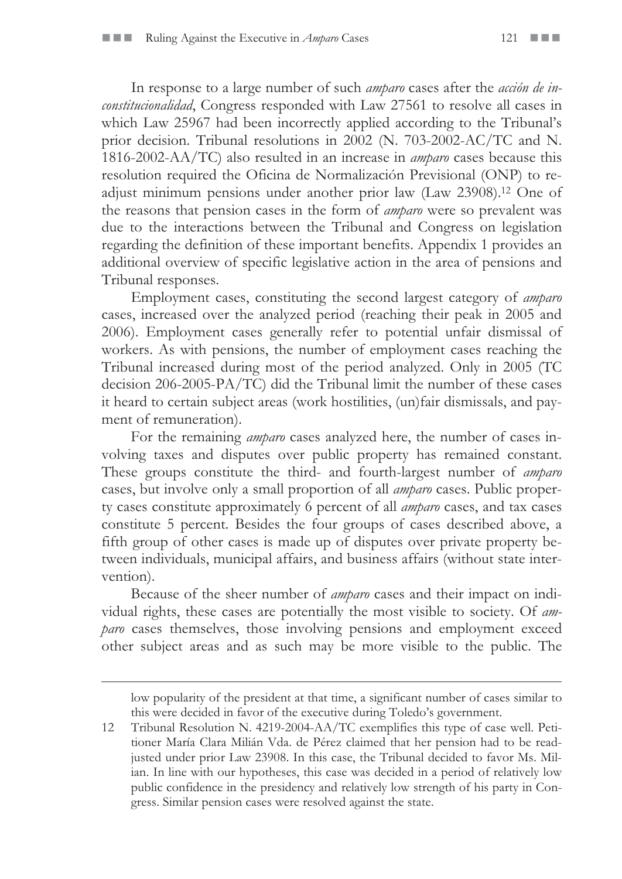In response to a large number of such *amparo* cases after the *acción de inconstitucionalidad*, Congress responded with Law 27561 to resolve all cases in which Law 25967 had been incorrectly applied according to the Tribunal's prior decision. Tribunal resolutions in 2002 (N. 703-2002-AC/TC and N. 1816-2002-AA/TC) also resulted in an increase in *amparo* cases because this resolution required the Oficina de Normalización Previsional (ONP) to readjust minimum pensions under another prior law (Law 23908).12 One of the reasons that pension cases in the form of *amparo* were so prevalent was due to the interactions between the Tribunal and Congress on legislation regarding the definition of these important benefits. Appendix 1 provides an additional overview of specific legislative action in the area of pensions and Tribunal responses.

Employment cases, constituting the second largest category of *amparo*  cases, increased over the analyzed period (reaching their peak in 2005 and 2006). Employment cases generally refer to potential unfair dismissal of workers. As with pensions, the number of employment cases reaching the Tribunal increased during most of the period analyzed. Only in 2005 (TC decision 206-2005-PA/TC) did the Tribunal limit the number of these cases it heard to certain subject areas (work hostilities, (un)fair dismissals, and payment of remuneration).

For the remaining *amparo* cases analyzed here, the number of cases involving taxes and disputes over public property has remained constant. These groups constitute the third- and fourth-largest number of *amparo* cases, but involve only a small proportion of all *amparo* cases. Public property cases constitute approximately 6 percent of all *amparo* cases, and tax cases constitute 5 percent. Besides the four groups of cases described above, a fifth group of other cases is made up of disputes over private property between individuals, municipal affairs, and business affairs (without state intervention).

Because of the sheer number of *amparo* cases and their impact on individual rights, these cases are potentially the most visible to society. Of *amparo* cases themselves, those involving pensions and employment exceed other subject areas and as such may be more visible to the public. The

 $\overline{a}$ 

low popularity of the president at that time, a significant number of cases similar to this were decided in favor of the executive during Toledo's government.

<sup>12</sup> Tribunal Resolution N. 4219-2004-AA/TC exemplifies this type of case well. Petitioner María Clara Milián Vda. de Pérez claimed that her pension had to be readjusted under prior Law 23908. In this case, the Tribunal decided to favor Ms. Milian. In line with our hypotheses, this case was decided in a period of relatively low public confidence in the presidency and relatively low strength of his party in Congress. Similar pension cases were resolved against the state.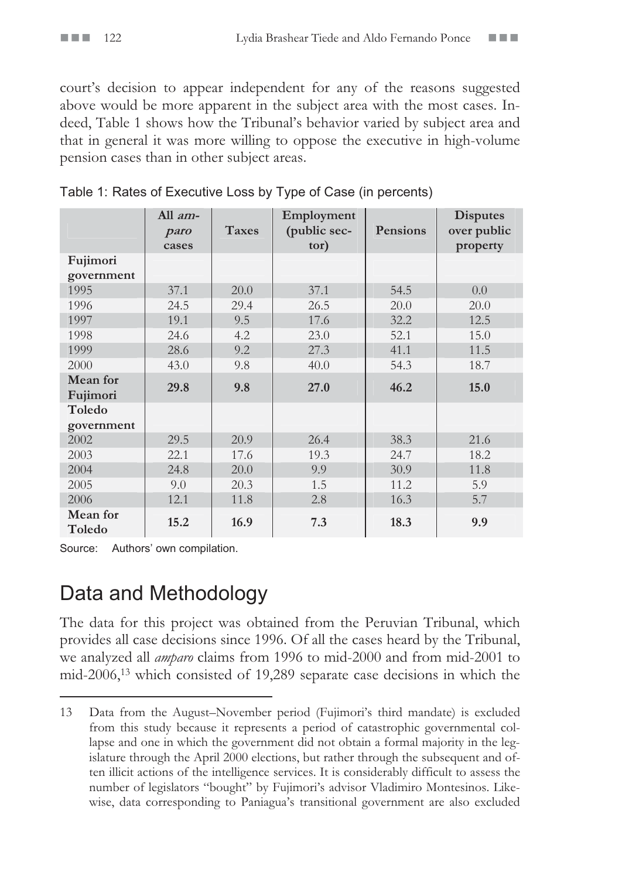court's decision to appear independent for any of the reasons suggested above would be more apparent in the subject area with the most cases. Indeed, Table 1 shows how the Tribunal's behavior varied by subject area and that in general it was more willing to oppose the executive in high-volume pension cases than in other subject areas.

|                      | All $am-$<br>paro<br>cases | <b>Taxes</b> | Employment<br>(public sec-<br>tor) | Pensions | <b>Disputes</b><br>over public<br>property |
|----------------------|----------------------------|--------------|------------------------------------|----------|--------------------------------------------|
| Fujimori             |                            |              |                                    |          |                                            |
| government           |                            |              |                                    |          |                                            |
| 1995                 | 37.1                       | 20.0         | 37.1                               | 54.5     | 0.0                                        |
| 1996                 | 24.5                       | 29.4         | 26.5                               | 20.0     | 20.0                                       |
| 1997                 | 19.1                       | 9.5          | 17.6                               | 32.2     | 12.5                                       |
| 1998                 | 24.6                       | 4.2          | 23.0                               | 52.1     | 15.0                                       |
| 1999                 | 28.6                       | 9.2          | 27.3                               | 41.1     | 11.5                                       |
| 2000                 | 43.0                       | 9.8          | 40.0                               | 54.3     | 18.7                                       |
| Mean for<br>Fujimori | 29.8                       | 9.8          | 27.0                               | 46.2     | 15.0                                       |
| Toledo<br>government |                            |              |                                    |          |                                            |
| 2002                 | 29.5                       | 20.9         | 26.4                               | 38.3     | 21.6                                       |
| 2003                 | 22.1                       | 17.6         | 19.3                               | 24.7     | 18.2                                       |
| 2004                 | 24.8                       | 20.0         | 9.9                                | 30.9     | 11.8                                       |
| 2005                 | 9.0                        | 20.3         | 1.5                                | 11.2     | 5.9                                        |
| 2006                 | 12.1                       | 11.8         | 2.8                                | 16.3     | 5.7                                        |
| Mean for<br>Toledo   | 15.2                       | 16.9         | 7.3                                | 18.3     | 9.9                                        |

|  | Table 1: Rates of Executive Loss by Type of Case (in percents) |  |  |
|--|----------------------------------------------------------------|--|--|
|  |                                                                |  |  |

Source: Authors' own compilation.

### Data and Methodology

The data for this project was obtained from the Peruvian Tribunal, which provides all case decisions since 1996. Of all the cases heard by the Tribunal, we analyzed all *amparo* claims from 1996 to mid-2000 and from mid-2001 to mid-2006,13 which consisted of 19,289 separate case decisions in which the

<sup>13</sup> Data from the August–November period (Fujimori's third mandate) is excluded from this study because it represents a period of catastrophic governmental collapse and one in which the government did not obtain a formal majority in the legislature through the April 2000 elections, but rather through the subsequent and often illicit actions of the intelligence services. It is considerably difficult to assess the number of legislators "bought" by Fujimori's advisor Vladimiro Montesinos. Likewise, data corresponding to Paniagua's transitional government are also excluded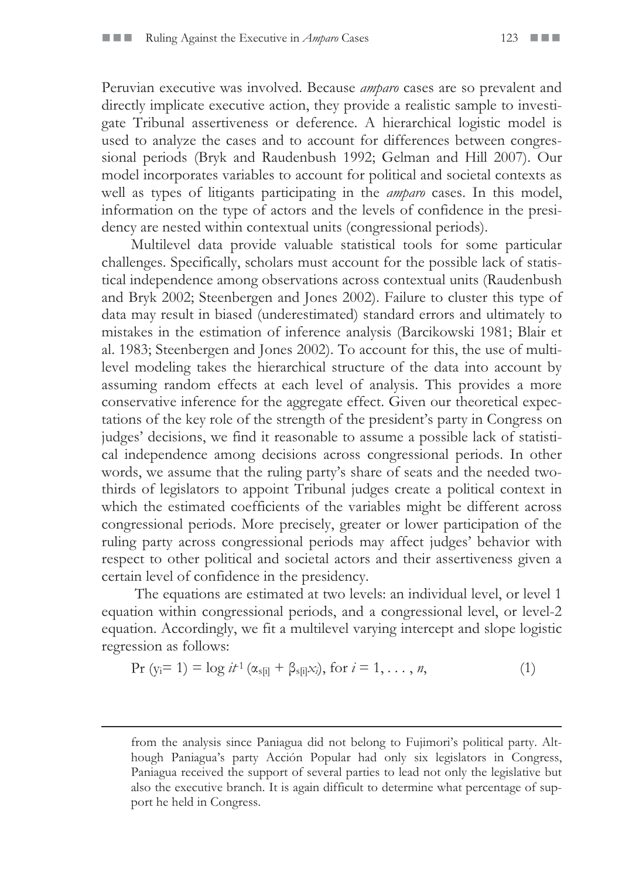Peruvian executive was involved. Because *amparo* cases are so prevalent and directly implicate executive action, they provide a realistic sample to investigate Tribunal assertiveness or deference. A hierarchical logistic model is used to analyze the cases and to account for differences between congressional periods (Bryk and Raudenbush 1992; Gelman and Hill 2007). Our model incorporates variables to account for political and societal contexts as well as types of litigants participating in the *amparo* cases. In this model, information on the type of actors and the levels of confidence in the presidency are nested within contextual units (congressional periods).

Multilevel data provide valuable statistical tools for some particular challenges. Specifically, scholars must account for the possible lack of statistical independence among observations across contextual units (Raudenbush and Bryk 2002; Steenbergen and Jones 2002). Failure to cluster this type of data may result in biased (underestimated) standard errors and ultimately to mistakes in the estimation of inference analysis (Barcikowski 1981; Blair et al. 1983; Steenbergen and Jones 2002). To account for this, the use of multilevel modeling takes the hierarchical structure of the data into account by assuming random effects at each level of analysis. This provides a more conservative inference for the aggregate effect. Given our theoretical expectations of the key role of the strength of the president's party in Congress on judges' decisions, we find it reasonable to assume a possible lack of statistical independence among decisions across congressional periods. In other words, we assume that the ruling party's share of seats and the needed twothirds of legislators to appoint Tribunal judges create a political context in which the estimated coefficients of the variables might be different across congressional periods. More precisely, greater or lower participation of the ruling party across congressional periods may affect judges' behavior with respect to other political and societal actors and their assertiveness given a certain level of confidence in the presidency.

 The equations are estimated at two levels: an individual level, or level 1 equation within congressional periods, and a congressional level, or level-2 equation. Accordingly, we fit a multilevel varying intercept and slope logistic regression as follows:

$$
Pr (y_i = 1) = log i t^{1} (\alpha_{s[i]} + \beta_{s[i]} x_i), \text{ for } i = 1, ..., n,
$$
 (1)

 $\overline{a}$ 

from the analysis since Paniagua did not belong to Fujimori's political party. Although Paniagua's party Acción Popular had only six legislators in Congress, Paniagua received the support of several parties to lead not only the legislative but also the executive branch. It is again difficult to determine what percentage of support he held in Congress.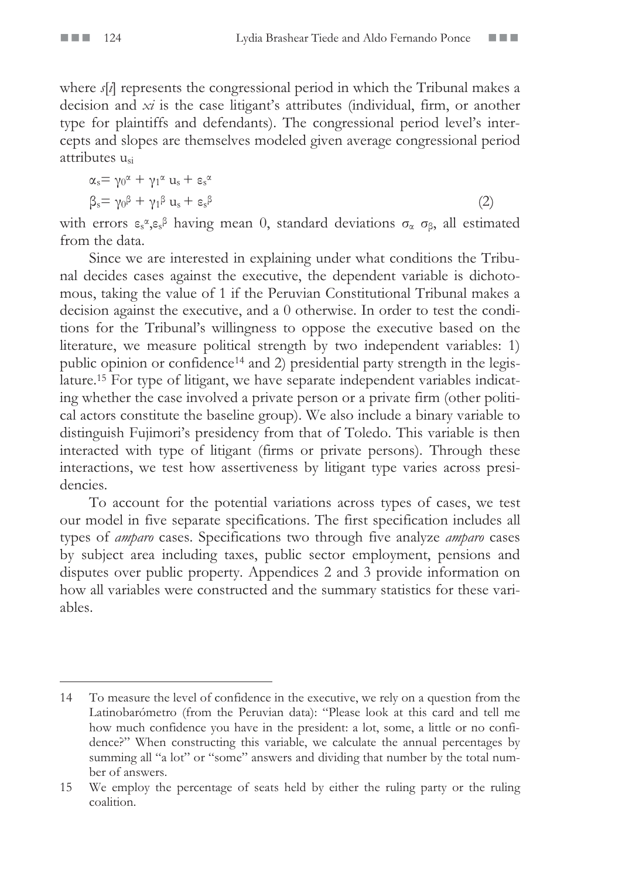where *s*[*i*] represents the congressional period in which the Tribunal makes a decision and *xi* is the case litigant's attributes (individual, firm, or another type for plaintiffs and defendants). The congressional period level's intercepts and slopes are themselves modeled given average congressional period attributes usi

$$
\alpha_s = \gamma_0^{\alpha} + \gamma_1^{\alpha} u_s + \epsilon_s^{\alpha}
$$
  
\n
$$
\beta_s = \gamma_0^{\beta} + \gamma_1^{\beta} u_s + \epsilon_s^{\beta}
$$
\n(2)

with errors  $\varepsilon_s \alpha_s \varepsilon_s \beta$  having mean 0, standard deviations  $\sigma_\alpha$   $\sigma_\beta$ , all estimated from the data.

Since we are interested in explaining under what conditions the Tribunal decides cases against the executive, the dependent variable is dichotomous, taking the value of 1 if the Peruvian Constitutional Tribunal makes a decision against the executive, and a 0 otherwise. In order to test the conditions for the Tribunal's willingness to oppose the executive based on the literature, we measure political strength by two independent variables: 1) public opinion or confidence<sup>14</sup> and 2) presidential party strength in the legislature.15 For type of litigant, we have separate independent variables indicating whether the case involved a private person or a private firm (other political actors constitute the baseline group). We also include a binary variable to distinguish Fujimori's presidency from that of Toledo. This variable is then interacted with type of litigant (firms or private persons). Through these interactions, we test how assertiveness by litigant type varies across presidencies.

To account for the potential variations across types of cases, we test our model in five separate specifications. The first specification includes all types of *amparo* cases. Specifications two through five analyze *amparo* cases by subject area including taxes, public sector employment, pensions and disputes over public property. Appendices 2 and 3 provide information on how all variables were constructed and the summary statistics for these variables.

<sup>14</sup> To measure the level of confidence in the executive, we rely on a question from the Latinobarómetro (from the Peruvian data): "Please look at this card and tell me how much confidence you have in the president: a lot, some, a little or no confidence?" When constructing this variable, we calculate the annual percentages by summing all "a lot" or "some" answers and dividing that number by the total number of answers.

<sup>15</sup> We employ the percentage of seats held by either the ruling party or the ruling coalition.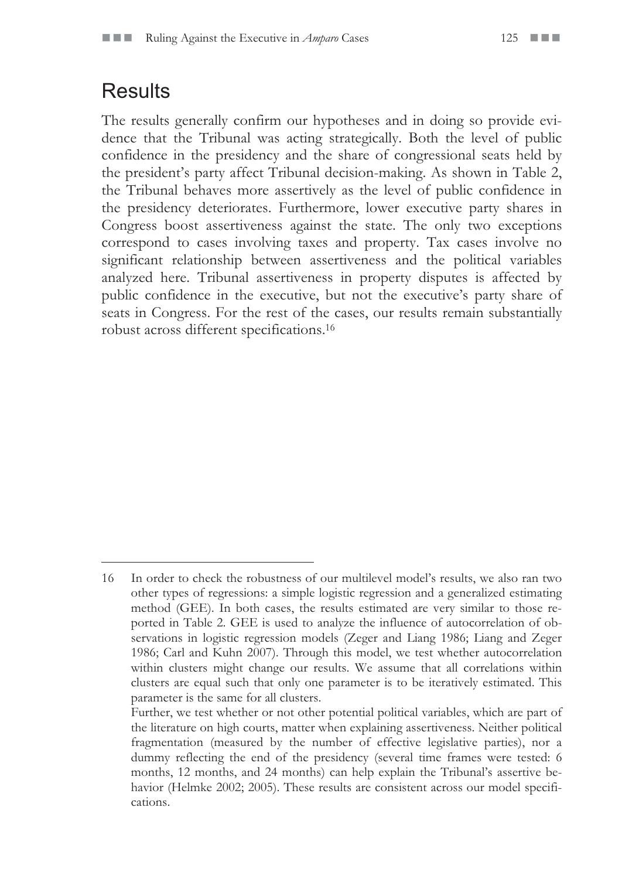### **Results**

The results generally confirm our hypotheses and in doing so provide evidence that the Tribunal was acting strategically. Both the level of public confidence in the presidency and the share of congressional seats held by the president's party affect Tribunal decision-making. As shown in Table 2, the Tribunal behaves more assertively as the level of public confidence in the presidency deteriorates. Furthermore, lower executive party shares in Congress boost assertiveness against the state. The only two exceptions correspond to cases involving taxes and property. Tax cases involve no significant relationship between assertiveness and the political variables analyzed here. Tribunal assertiveness in property disputes is affected by public confidence in the executive, but not the executive's party share of seats in Congress. For the rest of the cases, our results remain substantially robust across different specifications.16

<sup>16</sup> In order to check the robustness of our multilevel model's results, we also ran two other types of regressions: a simple logistic regression and a generalized estimating method (GEE). In both cases, the results estimated are very similar to those reported in Table 2. GEE is used to analyze the influence of autocorrelation of observations in logistic regression models (Zeger and Liang 1986; Liang and Zeger 1986; Carl and Kuhn 2007). Through this model, we test whether autocorrelation within clusters might change our results. We assume that all correlations within clusters are equal such that only one parameter is to be iteratively estimated. This parameter is the same for all clusters.

Further, we test whether or not other potential political variables, which are part of the literature on high courts, matter when explaining assertiveness. Neither political fragmentation (measured by the number of effective legislative parties), nor a dummy reflecting the end of the presidency (several time frames were tested: 6 months, 12 months, and 24 months) can help explain the Tribunal's assertive behavior (Helmke 2002; 2005). These results are consistent across our model specifications.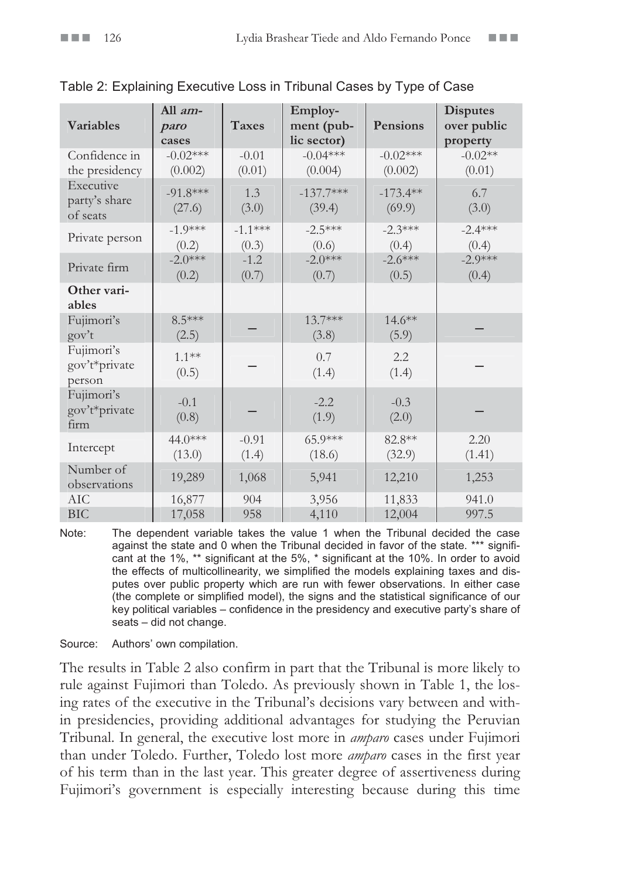|                                        | All am-               |                    | Employ-                   |                       | <b>Disputes</b>         |
|----------------------------------------|-----------------------|--------------------|---------------------------|-----------------------|-------------------------|
| <b>Variables</b>                       | paro<br>cases         | <b>Taxes</b>       | ment (pub-<br>lic sector) | Pensions              | over public<br>property |
| Confidence in<br>the presidency        | $-0.02***$<br>(0.002) | $-0.01$<br>(0.01)  | $-0.04***$<br>(0.004)     | $-0.02***$<br>(0.002) | $-0.02**$<br>(0.01)     |
| Executive<br>party's share<br>of seats | $-91.8***$<br>(27.6)  | 1.3<br>(3.0)       | $-137.7***$<br>(39.4)     | $-173.4**$<br>(69.9)  | 6.7<br>(3.0)            |
| Private person                         | $-1.9***$<br>(0.2)    | $-1.1***$<br>(0.3) | $-2.5***$<br>(0.6)        | $-2.3***$<br>(0.4)    | $-2.4***$<br>(0.4)      |
| Private firm                           | $-2.0***$<br>(0.2)    | $-1.2$<br>(0.7)    | $-2.0***$<br>(0.7)        | $-2.6***$<br>(0.5)    | $-2.9***$<br>(0.4)      |
| Other vari-<br>ables                   |                       |                    |                           |                       |                         |
| Fujimori's<br>gov't                    | $8.5***$<br>(2.5)     |                    | $13.7***$<br>(3.8)        | $14.6**$<br>(5.9)     |                         |
| Fujimori's<br>gov't*private<br>person  | $1.1***$<br>(0.5)     |                    | 0.7<br>(1.4)              | 2.2<br>(1.4)          |                         |
| Fujimori's<br>gov't*private<br>firm    | $-0.1$<br>(0.8)       |                    | $-2.2$<br>(1.9)           | $-0.3$<br>(2.0)       |                         |
| Intercept                              | 44.0***<br>(13.0)     | $-0.91$<br>(1.4)   | 65.9***<br>(18.6)         | 82.8**<br>(32.9)      | 2.20<br>(1.41)          |
| Number of<br>observations              | 19,289                | 1,068              | 5,941                     | 12,210                | 1,253                   |
| <b>AIC</b><br><b>BIC</b>               | 16,877<br>17,058      | 904<br>958         | 3,956<br>4,110            | 11,833<br>12,004      | 941.0<br>997.5          |

Table 2: Explaining Executive Loss in Tribunal Cases by Type of Case

Note: The dependent variable takes the value 1 when the Tribunal decided the case against the state and 0 when the Tribunal decided in favor of the state. \*\*\* significant at the 1%, \*\* significant at the 5%, \* significant at the 10%. In order to avoid the effects of multicollinearity, we simplified the models explaining taxes and disputes over public property which are run with fewer observations. In either case (the complete or simplified model), the signs and the statistical significance of our key political variables – confidence in the presidency and executive party's share of seats – did not change.

Source: Authors' own compilation.

The results in Table 2 also confirm in part that the Tribunal is more likely to rule against Fujimori than Toledo. As previously shown in Table 1, the losing rates of the executive in the Tribunal's decisions vary between and within presidencies, providing additional advantages for studying the Peruvian Tribunal. In general, the executive lost more in *amparo* cases under Fujimori than under Toledo. Further, Toledo lost more *amparo* cases in the first year of his term than in the last year. This greater degree of assertiveness during Fujimori's government is especially interesting because during this time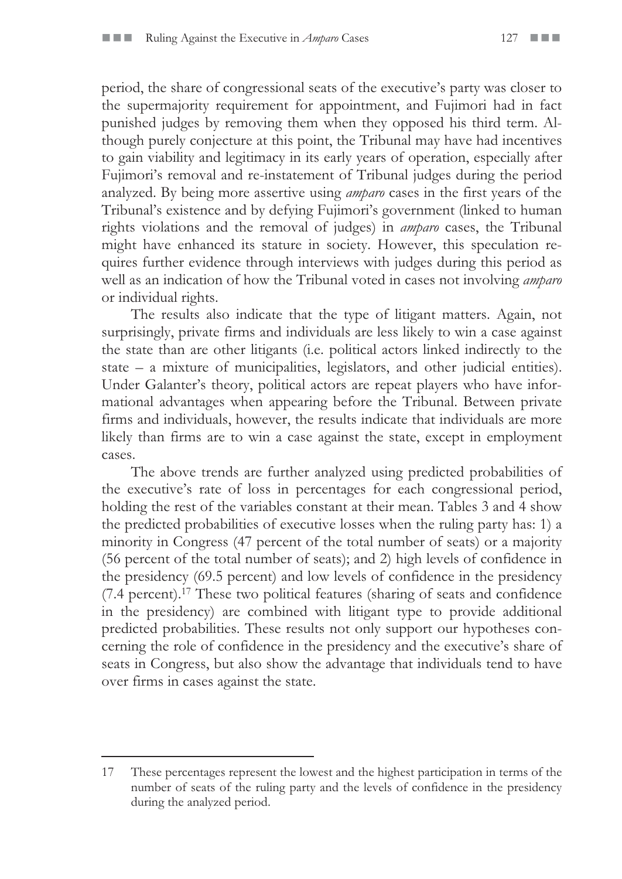period, the share of congressional seats of the executive's party was closer to the supermajority requirement for appointment, and Fujimori had in fact punished judges by removing them when they opposed his third term. Although purely conjecture at this point, the Tribunal may have had incentives to gain viability and legitimacy in its early years of operation, especially after Fujimori's removal and re-instatement of Tribunal judges during the period analyzed. By being more assertive using *amparo* cases in the first years of the Tribunal's existence and by defying Fujimori's government (linked to human rights violations and the removal of judges) in *amparo* cases, the Tribunal might have enhanced its stature in society. However, this speculation requires further evidence through interviews with judges during this period as well as an indication of how the Tribunal voted in cases not involving *amparo* or individual rights.

The results also indicate that the type of litigant matters. Again, not surprisingly, private firms and individuals are less likely to win a case against the state than are other litigants (i.e. political actors linked indirectly to the state – a mixture of municipalities, legislators, and other judicial entities). Under Galanter's theory, political actors are repeat players who have informational advantages when appearing before the Tribunal. Between private firms and individuals, however, the results indicate that individuals are more likely than firms are to win a case against the state, except in employment cases.

The above trends are further analyzed using predicted probabilities of the executive's rate of loss in percentages for each congressional period, holding the rest of the variables constant at their mean. Tables 3 and 4 show the predicted probabilities of executive losses when the ruling party has: 1) a minority in Congress (47 percent of the total number of seats) or a majority (56 percent of the total number of seats); and 2) high levels of confidence in the presidency (69.5 percent) and low levels of confidence in the presidency (7.4 percent).17 These two political features (sharing of seats and confidence in the presidency) are combined with litigant type to provide additional predicted probabilities. These results not only support our hypotheses concerning the role of confidence in the presidency and the executive's share of seats in Congress, but also show the advantage that individuals tend to have over firms in cases against the state.

<sup>17</sup> These percentages represent the lowest and the highest participation in terms of the number of seats of the ruling party and the levels of confidence in the presidency during the analyzed period.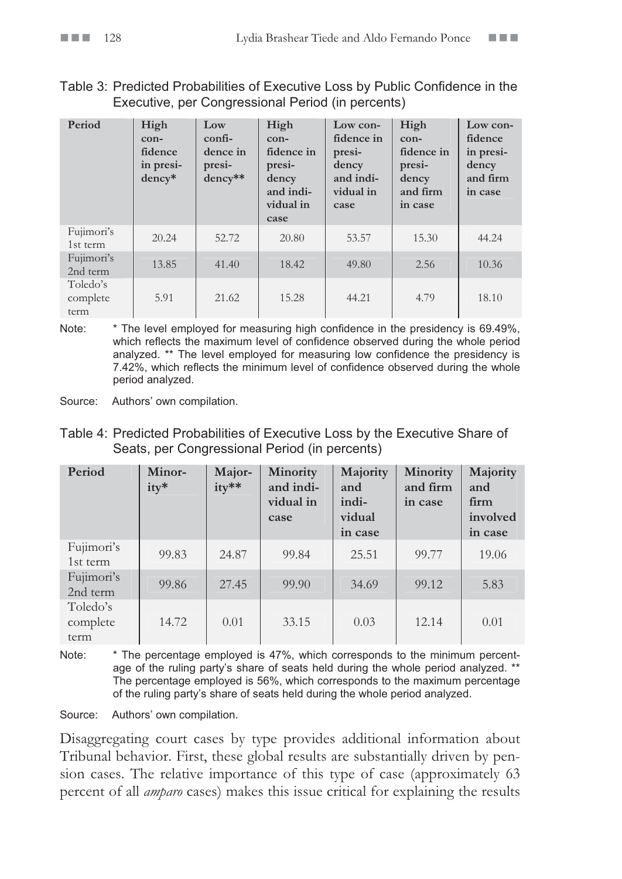#### Table 3: Predicted Probabilities of Executive Loss by Public Confidence in the Executive, per Congressional Period (in percents)

| Period                       | High<br>con-<br>fidence<br>in presi-<br>dency* | Low<br>confi-<br>dence in<br>presi-<br>dency** | High<br>$con-$<br>fidence in<br>presi-<br>dency<br>and indi-<br>vidual in<br>case | Low con-<br>fidence in<br>presi-<br>dency<br>and indi-<br>vidual in<br>case | High<br>$con-$<br>fidence in<br>presi-<br>dency<br>and firm<br>in case | Low con-<br>fidence<br>in presi-<br>dency<br>and firm<br>in case |
|------------------------------|------------------------------------------------|------------------------------------------------|-----------------------------------------------------------------------------------|-----------------------------------------------------------------------------|------------------------------------------------------------------------|------------------------------------------------------------------|
| Fujimori's<br>1st term       | 20.24                                          | 52.72                                          | 20.80                                                                             | 53.57                                                                       | 15.30                                                                  | 44.24                                                            |
| Fujimori's<br>2nd term       | 13.85                                          | 41.40                                          | 18.42                                                                             | 49.80                                                                       | 2.56                                                                   | 10.36                                                            |
| Toledo's<br>complete<br>term | 5.91                                           | 21.62                                          | 15.28                                                                             | 44.21                                                                       | 4.79                                                                   | 18.10                                                            |

Note: \* The level employed for measuring high confidence in the presidency is 69.49%, which reflects the maximum level of confidence observed during the whole period analyzed. \*\* The level employed for measuring low confidence the presidency is 7.42%, which reflects the minimum level of confidence observed during the whole period analyzed.

Source: Authors' own compilation.

| Table 4: Predicted Probabilities of Executive Loss by the Executive Share of |
|------------------------------------------------------------------------------|
| Seats, per Congressional Period (in percents)                                |

| Period                       | Minor-<br>$itv*$ | Major-<br>ity** | Minority<br>and indi-<br>vidual in<br>case | Majority<br>and<br>indi-<br>vidual<br>in case | Minority<br>and firm<br>in case | Majority<br>and<br>firm<br>involved<br>in case |
|------------------------------|------------------|-----------------|--------------------------------------------|-----------------------------------------------|---------------------------------|------------------------------------------------|
| Fujimori's<br>1st term       | 99.83            | 24.87           | 99.84                                      | 25.51                                         | 99.77                           | 19.06                                          |
| Fujimori's<br>2nd term       | 99.86            | 27.45           | 99.90                                      | 34.69                                         | 99.12                           | 5.83                                           |
| Toledo's<br>complete<br>term | 14.72            | 0.01            | 33.15                                      | 0.03                                          | 12.14                           | 0.01                                           |

Note: \* The percentage employed is 47%, which corresponds to the minimum percentage of the ruling party's share of seats held during the whole period analyzed. \*\* The percentage employed is 56%, which corresponds to the maximum percentage of the ruling party's share of seats held during the whole period analyzed.

Source: Authors' own compilation.

Disaggregating court cases by type provides additional information about Tribunal behavior. First, these global results are substantially driven by pension cases. The relative importance of this type of case (approximately 63 percent of all *amparo* cases) makes this issue critical for explaining the results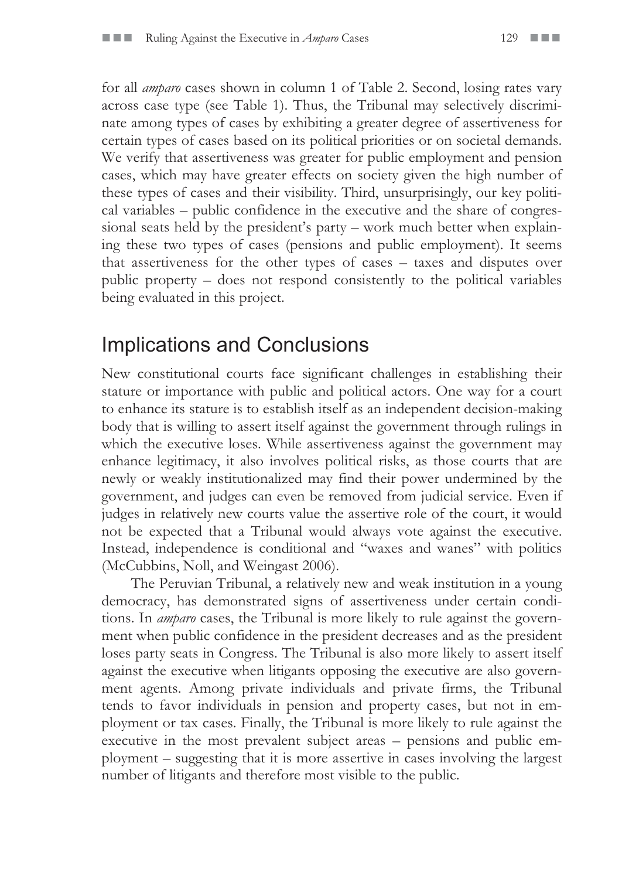for all *amparo* cases shown in column 1 of Table 2. Second, losing rates vary across case type (see Table 1). Thus, the Tribunal may selectively discriminate among types of cases by exhibiting a greater degree of assertiveness for certain types of cases based on its political priorities or on societal demands. We verify that assertiveness was greater for public employment and pension cases, which may have greater effects on society given the high number of these types of cases and their visibility. Third, unsurprisingly, our key political variables – public confidence in the executive and the share of congressional seats held by the president's party – work much better when explaining these two types of cases (pensions and public employment). It seems that assertiveness for the other types of cases – taxes and disputes over public property – does not respond consistently to the political variables being evaluated in this project.

### Implications and Conclusions

New constitutional courts face significant challenges in establishing their stature or importance with public and political actors. One way for a court to enhance its stature is to establish itself as an independent decision-making body that is willing to assert itself against the government through rulings in which the executive loses. While assertiveness against the government may enhance legitimacy, it also involves political risks, as those courts that are newly or weakly institutionalized may find their power undermined by the government, and judges can even be removed from judicial service. Even if judges in relatively new courts value the assertive role of the court, it would not be expected that a Tribunal would always vote against the executive. Instead, independence is conditional and "waxes and wanes" with politics (McCubbins, Noll, and Weingast 2006).

The Peruvian Tribunal, a relatively new and weak institution in a young democracy, has demonstrated signs of assertiveness under certain conditions. In *amparo* cases, the Tribunal is more likely to rule against the government when public confidence in the president decreases and as the president loses party seats in Congress. The Tribunal is also more likely to assert itself against the executive when litigants opposing the executive are also government agents. Among private individuals and private firms, the Tribunal tends to favor individuals in pension and property cases, but not in employment or tax cases. Finally, the Tribunal is more likely to rule against the executive in the most prevalent subject areas – pensions and public employment – suggesting that it is more assertive in cases involving the largest number of litigants and therefore most visible to the public.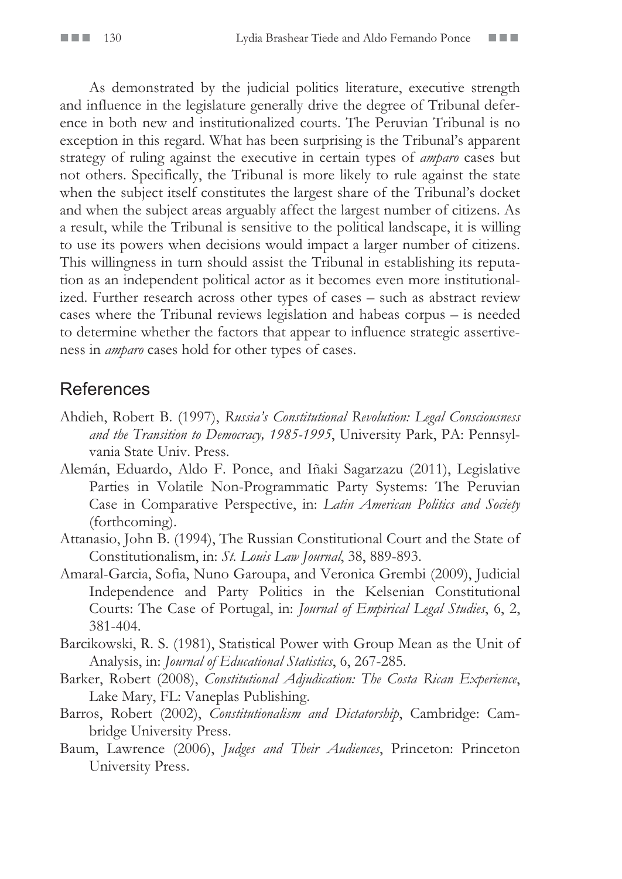As demonstrated by the judicial politics literature, executive strength and influence in the legislature generally drive the degree of Tribunal deference in both new and institutionalized courts. The Peruvian Tribunal is no exception in this regard. What has been surprising is the Tribunal's apparent strategy of ruling against the executive in certain types of *amparo* cases but not others. Specifically, the Tribunal is more likely to rule against the state when the subject itself constitutes the largest share of the Tribunal's docket and when the subject areas arguably affect the largest number of citizens. As a result, while the Tribunal is sensitive to the political landscape, it is willing to use its powers when decisions would impact a larger number of citizens. This willingness in turn should assist the Tribunal in establishing its reputation as an independent political actor as it becomes even more institutionalized. Further research across other types of cases – such as abstract review cases where the Tribunal reviews legislation and habeas corpus – is needed to determine whether the factors that appear to influence strategic assertiveness in *amparo* cases hold for other types of cases.

#### **References**

- Ahdieh, Robert B. (1997), *Russia's Constitutional Revolution: Legal Consciousness and the Transition to Democracy, 1985-1995*, University Park, PA: Pennsylvania State Univ. Press.
- Alemán, Eduardo, Aldo F. Ponce, and Iñaki Sagarzazu (2011), Legislative Parties in Volatile Non-Programmatic Party Systems: The Peruvian Case in Comparative Perspective, in: *Latin American Politics and Society* (forthcoming).
- Attanasio, John B. (1994), The Russian Constitutional Court and the State of Constitutionalism, in: *St. Louis Law Journal*, 38, 889-893.
- Amaral-Garcia, Sofia, Nuno Garoupa, and Veronica Grembi (2009), Judicial Independence and Party Politics in the Kelsenian Constitutional Courts: The Case of Portugal, in: *Journal of Empirical Legal Studies*, 6, 2, 381-404.
- Barcikowski, R. S. (1981), Statistical Power with Group Mean as the Unit of Analysis, in: *Journal of Educational Statistics*, 6, 267-285.
- Barker, Robert (2008), *Constitutional Adjudication: The Costa Rican Experience*, Lake Mary, FL: Vaneplas Publishing.
- Barros, Robert (2002), *Constitutionalism and Dictatorship*, Cambridge: Cambridge University Press.
- Baum, Lawrence (2006), *Judges and Their Audiences*, Princeton: Princeton University Press.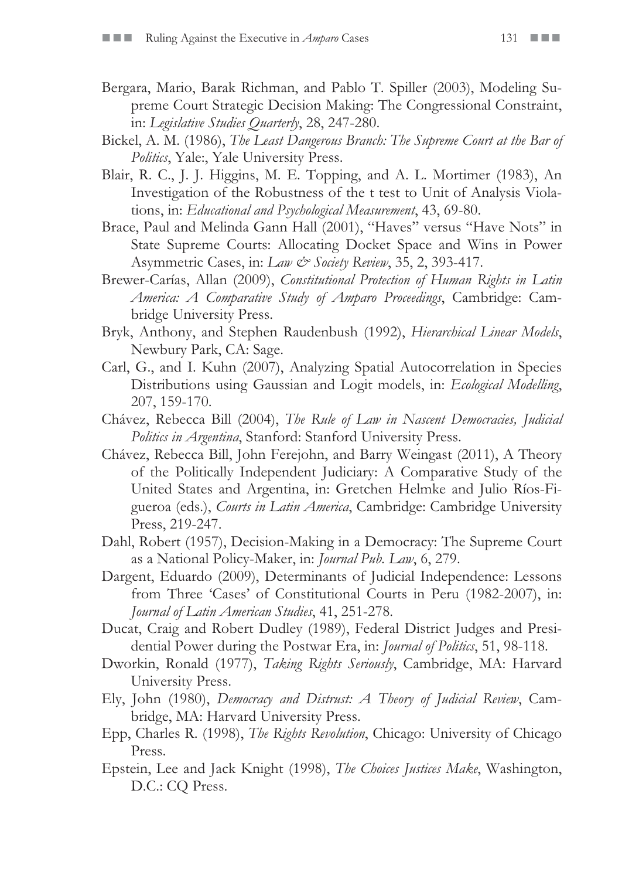- Bergara, Mario, Barak Richman, and Pablo T. Spiller (2003), Modeling Supreme Court Strategic Decision Making: The Congressional Constraint, in: *Legislative Studies Quarterly*, 28, 247-280.
- Bickel, A. M. (1986), *The Least Dangerous Branch: The Supreme Court at the Bar of Politics*, Yale:, Yale University Press.
- Blair, R. C., J. J. Higgins, M. E. Topping, and A. L. Mortimer (1983), An Investigation of the Robustness of the t test to Unit of Analysis Violations, in: *Educational and Psychological Measurement*, 43, 69-80.
- Brace, Paul and Melinda Gann Hall (2001), "Haves" versus "Have Nots" in State Supreme Courts: Allocating Docket Space and Wins in Power Asymmetric Cases, in: *Law & Society Review*, 35, 2, 393-417.
- Brewer-Carías, Allan (2009), *Constitutional Protection of Human Rights in Latin America: A Comparative Study of Amparo Proceedings*, Cambridge: Cambridge University Press.
- Bryk, Anthony, and Stephen Raudenbush (1992), *Hierarchical Linear Models*, Newbury Park, CA: Sage.
- Carl, G., and I. Kuhn (2007), Analyzing Spatial Autocorrelation in Species Distributions using Gaussian and Logit models, in: *Ecological Modelling*, 207, 159-170.
- Chávez, Rebecca Bill (2004), *The Rule of Law in Nascent Democracies, Judicial Politics in Argentina*, Stanford: Stanford University Press.
- Chávez, Rebecca Bill, John Ferejohn, and Barry Weingast (2011), A Theory of the Politically Independent Judiciary: A Comparative Study of the United States and Argentina, in: Gretchen Helmke and Julio Ríos-Figueroa (eds.), *Courts in Latin America*, Cambridge: Cambridge University Press, 219-247.
- Dahl, Robert (1957), Decision-Making in a Democracy: The Supreme Court as a National Policy-Maker, in: *Journal Pub. Law*, 6, 279.
- Dargent, Eduardo (2009), Determinants of Judicial Independence: Lessons from Three 'Cases' of Constitutional Courts in Peru (1982-2007), in: *Journal of Latin American Studies*, 41, 251-278.
- Ducat, Craig and Robert Dudley (1989), Federal District Judges and Presidential Power during the Postwar Era, in: *Journal of Politics*, 51, 98-118.
- Dworkin, Ronald (1977), *Taking Rights Seriously*, Cambridge, MA: Harvard University Press.
- Ely, John (1980), *Democracy and Distrust: A Theory of Judicial Review*, Cambridge, MA: Harvard University Press.
- Epp, Charles R. (1998), *The Rights Revolution*, Chicago: University of Chicago Press.
- Epstein, Lee and Jack Knight (1998), *The Choices Justices Make*, Washington, D.C.: CQ Press.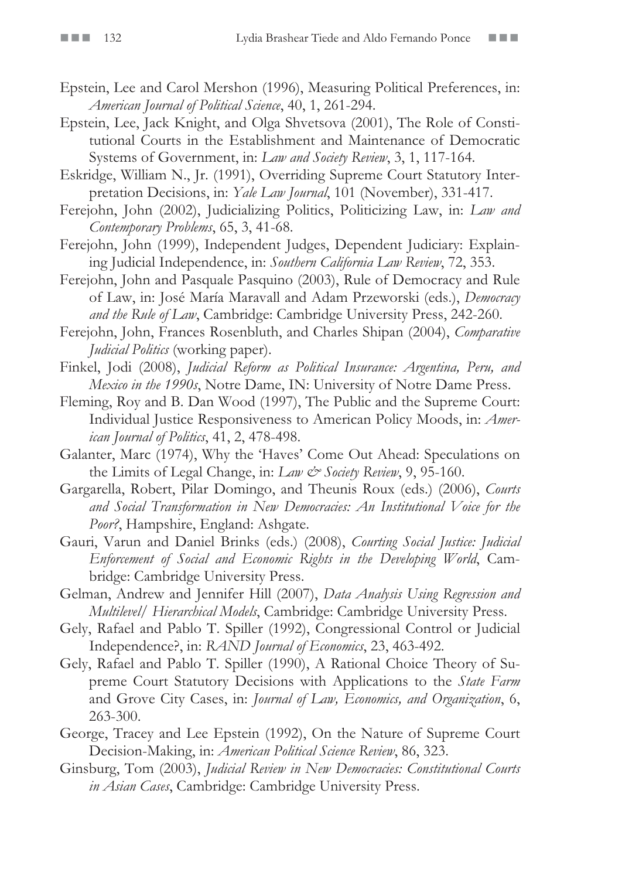- Epstein, Lee and Carol Mershon (1996), Measuring Political Preferences, in: *American Journal of Political Science*, 40, 1, 261-294.
- Epstein, Lee, Jack Knight, and Olga Shvetsova (2001), The Role of Constitutional Courts in the Establishment and Maintenance of Democratic Systems of Government, in: *Law and Society Review*, 3, 1, 117-164.
- Eskridge, William N., Jr. (1991), Overriding Supreme Court Statutory Interpretation Decisions, in: *Yale Law Journal*, 101 (November), 331-417.
- Ferejohn, John (2002), Judicializing Politics, Politicizing Law, in: *Law and Contemporary Problems*, 65, 3, 41-68.
- Ferejohn, John (1999), Independent Judges, Dependent Judiciary: Explaining Judicial Independence, in: *Southern California Law Review*, 72, 353.
- Ferejohn, John and Pasquale Pasquino (2003), Rule of Democracy and Rule of Law, in: José María Maravall and Adam Przeworski (eds.), *Democracy and the Rule of Law*, Cambridge: Cambridge University Press, 242-260.
- Ferejohn, John, Frances Rosenbluth, and Charles Shipan (2004), *Comparative Judicial Politics* (working paper).
- Finkel, Jodi (2008), *Judicial Reform as Political Insurance: Argentina, Peru, and Mexico in the 1990s*, Notre Dame, IN: University of Notre Dame Press.
- Fleming, Roy and B. Dan Wood (1997), The Public and the Supreme Court: Individual Justice Responsiveness to American Policy Moods, in: *American Journal of Politics*, 41, 2, 478-498.
- Galanter, Marc (1974), Why the 'Haves' Come Out Ahead: Speculations on the Limits of Legal Change, in: *Law & Society Review*, 9, 95-160.
- Gargarella, Robert, Pilar Domingo, and Theunis Roux (eds.) (2006), *Courts and Social Transformation in New Democracies: An Institutional Voice for the Poor?*, Hampshire, England: Ashgate.
- Gauri, Varun and Daniel Brinks (eds.) (2008), *Courting Social Justice: Judicial Enforcement of Social and Economic Rights in the Developing World*, Cambridge: Cambridge University Press.
- Gelman, Andrew and Jennifer Hill (2007), *Data Analysis Using Regression and Multilevel/ Hierarchical Models*, Cambridge: Cambridge University Press.
- Gely, Rafael and Pablo T. Spiller (1992), Congressional Control or Judicial Independence?, in: *RAND Journal of Economics*, 23, 463-492.
- Gely, Rafael and Pablo T. Spiller (1990), A Rational Choice Theory of Supreme Court Statutory Decisions with Applications to the *State Farm* and Grove City Cases, in: *Journal of Law, Economics, and Organization*, 6, 263-300.
- George, Tracey and Lee Epstein (1992), On the Nature of Supreme Court Decision-Making, in: *American Political Science Review*, 86, 323.
- Ginsburg, Tom (2003), *Judicial Review in New Democracies: Constitutional Courts in Asian Cases*, Cambridge: Cambridge University Press.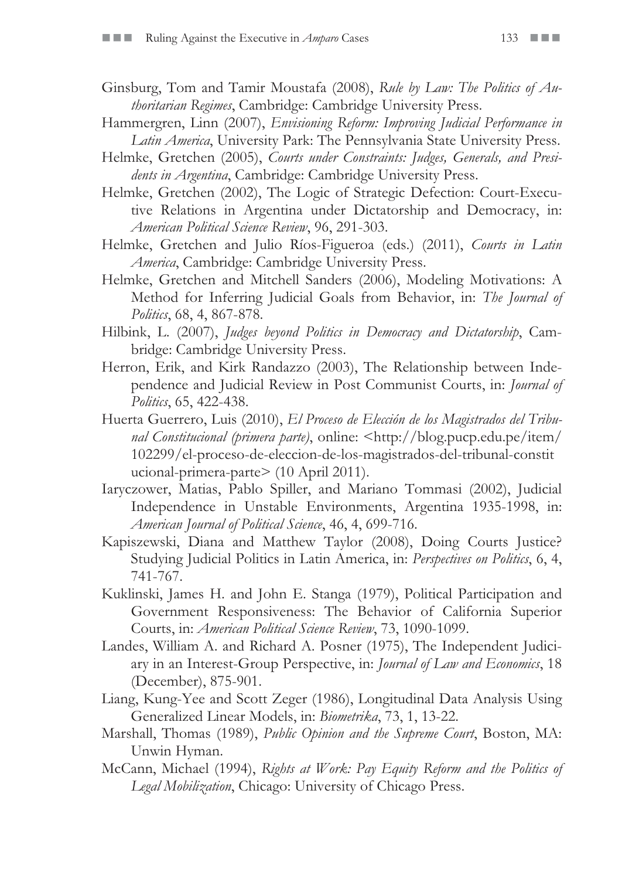- Ginsburg, Tom and Tamir Moustafa (2008), *Rule by Law: The Politics of Authoritarian Regimes*, Cambridge: Cambridge University Press.
- Hammergren, Linn (2007), *Envisioning Reform: Improving Judicial Performance in Latin America*, University Park: The Pennsylvania State University Press.
- Helmke, Gretchen (2005), *Courts under Constraints: Judges, Generals, and Presidents in Argentina*, Cambridge: Cambridge University Press.
- Helmke, Gretchen (2002), The Logic of Strategic Defection: Court-Executive Relations in Argentina under Dictatorship and Democracy, in: *American Political Science Review*, 96, 291-303.
- Helmke, Gretchen and Julio Ríos-Figueroa (eds.) (2011), *Courts in Latin America*, Cambridge: Cambridge University Press.
- Helmke, Gretchen and Mitchell Sanders (2006), Modeling Motivations: A Method for Inferring Judicial Goals from Behavior, in: *The Journal of Politics*, 68, 4, 867-878.
- Hilbink, L. (2007), *Judges beyond Politics in Democracy and Dictatorship*, Cambridge: Cambridge University Press.
- Herron, Erik, and Kirk Randazzo (2003), The Relationship between Independence and Judicial Review in Post Communist Courts, in: *Journal of Politics*, 65, 422-438.
- Huerta Guerrero, Luis (2010), *El Proceso de Elección de los Magistrados del Tribunal Constitucional (primera parte)*, online: <http://blog.pucp.edu.pe/item/ 102299/el-proceso-de-eleccion-de-los-magistrados-del-tribunal-constit ucional-primera-parte> (10 April 2011).
- Iaryczower, Matias, Pablo Spiller, and Mariano Tommasi (2002), Judicial Independence in Unstable Environments, Argentina 1935-1998, in: *American Journal of Political Science*, 46, 4, 699-716.
- Kapiszewski, Diana and Matthew Taylor (2008), Doing Courts Justice? Studying Judicial Politics in Latin America, in: *Perspectives on Politics*, 6, 4, 741-767.
- Kuklinski, James H. and John E. Stanga (1979), Political Participation and Government Responsiveness: The Behavior of California Superior Courts, in: *American Political Science Review*, 73, 1090-1099.
- Landes, William A. and Richard A. Posner (1975), The Independent Judiciary in an Interest-Group Perspective, in: *Journal of Law and Economics*, 18 (December), 875-901.
- Liang, Kung-Yee and Scott Zeger (1986), Longitudinal Data Analysis Using Generalized Linear Models, in: *Biometrika*, 73, 1, 13-22.
- Marshall, Thomas (1989), *Public Opinion and the Supreme Court*, Boston, MA: Unwin Hyman.
- McCann, Michael (1994), *Rights at Work: Pay Equity Reform and the Politics of Legal Mobilization*, Chicago: University of Chicago Press.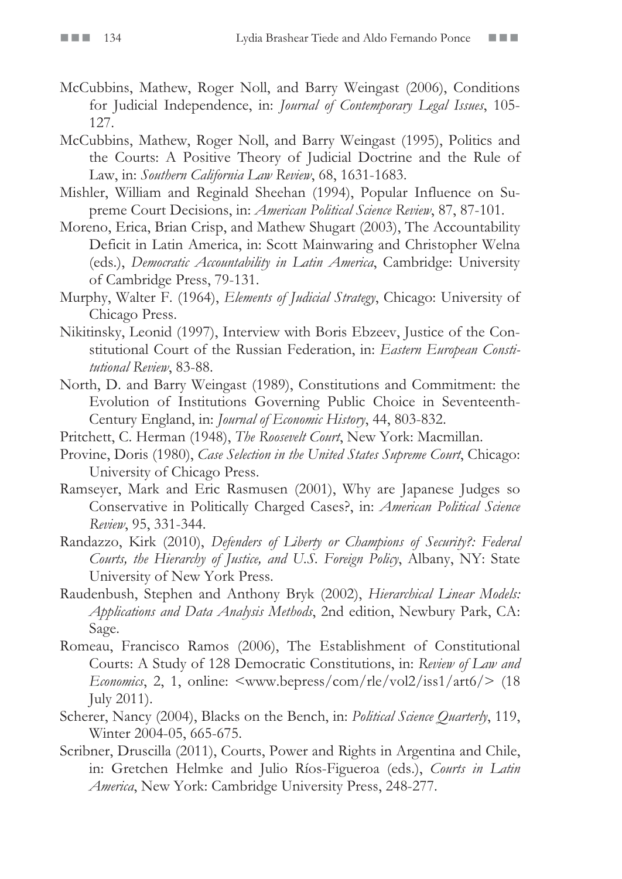- McCubbins, Mathew, Roger Noll, and Barry Weingast (2006), Conditions for Judicial Independence, in: *Journal of Contemporary Legal Issues*, 105- 127.
- McCubbins, Mathew, Roger Noll, and Barry Weingast (1995), Politics and the Courts: A Positive Theory of Judicial Doctrine and the Rule of Law, in: *Southern California Law Review*, 68, 1631-1683.
- Mishler, William and Reginald Sheehan (1994), Popular Influence on Supreme Court Decisions, in: *American Political Science Review*, 87, 87-101.
- Moreno, Erica, Brian Crisp, and Mathew Shugart (2003), The Accountability Deficit in Latin America, in: Scott Mainwaring and Christopher Welna (eds.), *Democratic Accountability in Latin America*, Cambridge: University of Cambridge Press, 79-131.
- Murphy, Walter F. (1964), *Elements of Judicial Strategy*, Chicago: University of Chicago Press.
- Nikitinsky, Leonid (1997), Interview with Boris Ebzeev, Justice of the Constitutional Court of the Russian Federation, in: *Eastern European Constitutional Review*, 83-88.
- North, D. and Barry Weingast (1989), Constitutions and Commitment: the Evolution of Institutions Governing Public Choice in Seventeenth-Century England, in: *Journal of Economic History*, 44, 803-832.
- Pritchett, C. Herman (1948), *The Roosevelt Court*, New York: Macmillan.
- Provine, Doris (1980), *Case Selection in the United States Supreme Court*, Chicago: University of Chicago Press.
- Ramseyer, Mark and Eric Rasmusen (2001), Why are Japanese Judges so Conservative in Politically Charged Cases?, in: *American Political Science Review*, 95, 331-344.
- Randazzo, Kirk (2010), *Defenders of Liberty or Champions of Security?: Federal Courts, the Hierarchy of Justice, and U.S. Foreign Policy*, Albany, NY: State University of New York Press.
- Raudenbush, Stephen and Anthony Bryk (2002), *Hierarchical Linear Models: Applications and Data Analysis Methods*, 2nd edition, Newbury Park, CA: Sage.
- Romeau, Francisco Ramos (2006), The Establishment of Constitutional Courts: A Study of 128 Democratic Constitutions, in: *Review of Law and Economics*, 2, 1, online: <www.bepress/com/rle/vol2/iss1/art6/> (18 July 2011).
- Scherer, Nancy (2004), Blacks on the Bench, in: *Political Science Quarterly*, 119, Winter 2004-05, 665-675.
- Scribner, Druscilla (2011), Courts, Power and Rights in Argentina and Chile, in: Gretchen Helmke and Julio Ríos-Figueroa (eds.), *Courts in Latin America*, New York: Cambridge University Press, 248-277.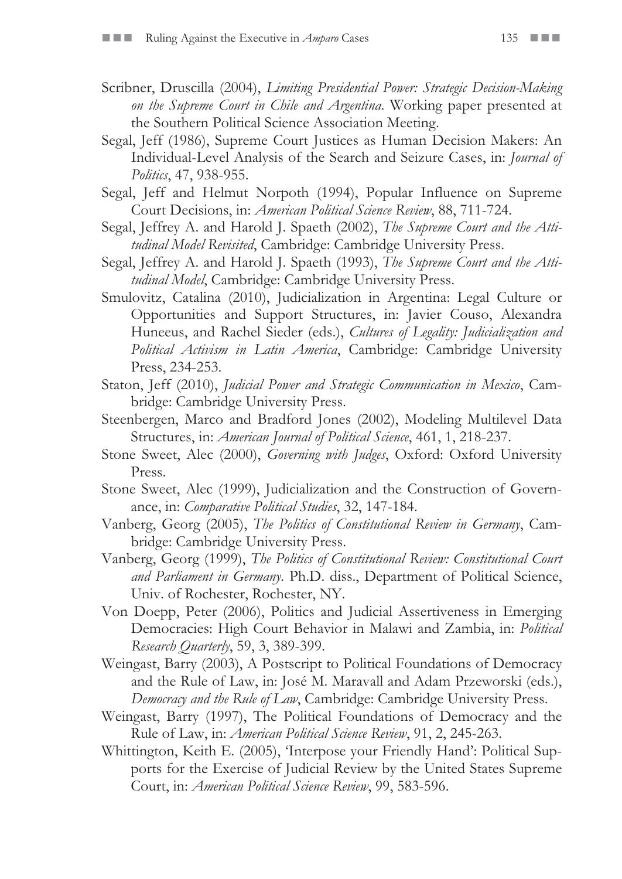- Scribner, Druscilla (2004), *Limiting Presidential Power: Strategic Decision-Making on the Supreme Court in Chile and Argentina*. Working paper presented at the Southern Political Science Association Meeting.
- Segal, Jeff (1986), Supreme Court Justices as Human Decision Makers: An Individual-Level Analysis of the Search and Seizure Cases, in: *Journal of Politics*, 47, 938-955.
- Segal, Jeff and Helmut Norpoth (1994), Popular Influence on Supreme Court Decisions, in: *American Political Science Review*, 88, 711-724.
- Segal, Jeffrey A. and Harold J. Spaeth (2002), *The Supreme Court and the Attitudinal Model Revisited*, Cambridge: Cambridge University Press.
- Segal, Jeffrey A. and Harold J. Spaeth (1993), *The Supreme Court and the Attitudinal Model*, Cambridge: Cambridge University Press.
- Smulovitz, Catalina (2010), Judicialization in Argentina: Legal Culture or Opportunities and Support Structures, in: Javier Couso, Alexandra Huneeus, and Rachel Sieder (eds.), *Cultures of Legality: Judicialization and Political Activism in Latin America*, Cambridge: Cambridge University Press, 234-253.
- Staton, Jeff (2010), *Judicial Power and Strategic Communication in Mexico*, Cambridge: Cambridge University Press.
- Steenbergen, Marco and Bradford Jones (2002), Modeling Multilevel Data Structures, in: *American Journal of Political Science*, 461, 1, 218-237.
- Stone Sweet, Alec (2000), *Governing with Judges*, Oxford: Oxford University Press.
- Stone Sweet, Alec (1999), Judicialization and the Construction of Governance, in: *Comparative Political Studies*, 32, 147-184.
- Vanberg, Georg (2005), *The Politics of Constitutional Review in Germany*, Cambridge: Cambridge University Press.
- Vanberg, Georg (1999), *The Politics of Constitutional Review: Constitutional Court and Parliament in Germany*. Ph.D. diss., Department of Political Science, Univ. of Rochester, Rochester, NY.
- Von Doepp, Peter (2006), Politics and Judicial Assertiveness in Emerging Democracies: High Court Behavior in Malawi and Zambia, in: *Political Research Quarterly*, 59, 3, 389-399.
- Weingast, Barry (2003), A Postscript to Political Foundations of Democracy and the Rule of Law, in: José M. Maravall and Adam Przeworski (eds.), *Democracy and the Rule of Law*, Cambridge: Cambridge University Press.
- Weingast, Barry (1997), The Political Foundations of Democracy and the Rule of Law, in: *American Political Science Review*, 91, 2, 245-263.
- Whittington, Keith E. (2005), 'Interpose your Friendly Hand': Political Supports for the Exercise of Judicial Review by the United States Supreme Court, in: *American Political Science Review*, 99, 583-596.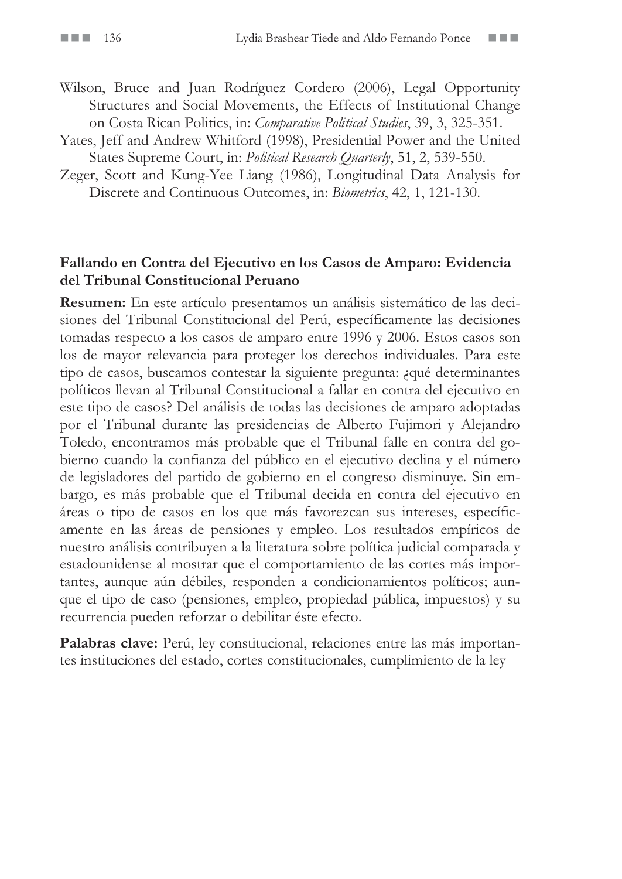- Wilson, Bruce and Juan Rodríguez Cordero (2006), Legal Opportunity Structures and Social Movements, the Effects of Institutional Change on Costa Rican Politics, in: *Comparative Political Studies*, 39, 3, 325-351.
- Yates, Jeff and Andrew Whitford (1998), Presidential Power and the United States Supreme Court, in: *Political Research Quarterly*, 51, 2, 539-550.
- Zeger, Scott and Kung-Yee Liang (1986), Longitudinal Data Analysis for Discrete and Continuous Outcomes, in: *Biometrics*, 42, 1, 121-130.

#### **Fallando en Contra del Ejecutivo en los Casos de Amparo: Evidencia del Tribunal Constitucional Peruano**

**Resumen:** En este artículo presentamos un análisis sistemático de las decisiones del Tribunal Constitucional del Perú, específicamente las decisiones tomadas respecto a los casos de amparo entre 1996 y 2006. Estos casos son los de mayor relevancia para proteger los derechos individuales. Para este tipo de casos, buscamos contestar la siguiente pregunta: ¿qué determinantes políticos llevan al Tribunal Constitucional a fallar en contra del ejecutivo en este tipo de casos? Del análisis de todas las decisiones de amparo adoptadas por el Tribunal durante las presidencias de Alberto Fujimori y Alejandro Toledo, encontramos más probable que el Tribunal falle en contra del gobierno cuando la confianza del público en el ejecutivo declina y el número de legisladores del partido de gobierno en el congreso disminuye. Sin embargo, es más probable que el Tribunal decida en contra del ejecutivo en áreas o tipo de casos en los que más favorezcan sus intereses, específicamente en las áreas de pensiones y empleo. Los resultados empíricos de nuestro análisis contribuyen a la literatura sobre política judicial comparada y estadounidense al mostrar que el comportamiento de las cortes más importantes, aunque aún débiles, responden a condicionamientos políticos; aunque el tipo de caso (pensiones, empleo, propiedad pública, impuestos) y su recurrencia pueden reforzar o debilitar éste efecto.

Palabras clave: Perú, ley constitucional, relaciones entre las más importantes instituciones del estado, cortes constitucionales, cumplimiento de la ley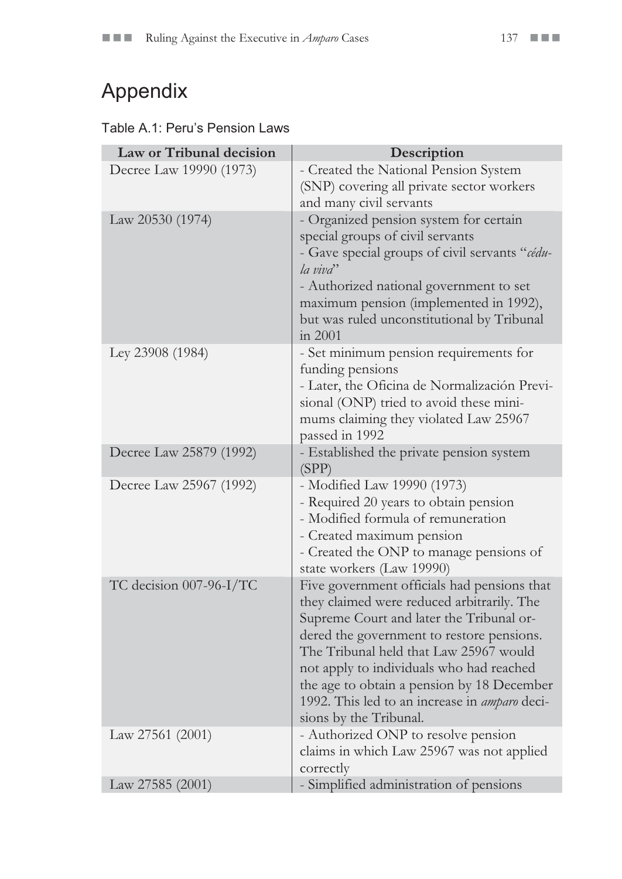# Appendix

#### Table A.1: Peru's Pension Laws

| Law or Tribunal decision | Description                                                                                                                                                                                                                                                                                                                                                                                       |  |  |  |
|--------------------------|---------------------------------------------------------------------------------------------------------------------------------------------------------------------------------------------------------------------------------------------------------------------------------------------------------------------------------------------------------------------------------------------------|--|--|--|
| Decree Law 19990 (1973)  | - Created the National Pension System<br>(SNP) covering all private sector workers<br>and many civil servants                                                                                                                                                                                                                                                                                     |  |  |  |
| Law 20530 (1974)         | - Organized pension system for certain<br>special groups of civil servants<br>- Gave special groups of civil servants "cédu-<br>la viva''<br>- Authorized national government to set<br>maximum pension (implemented in 1992),<br>but was ruled unconstitutional by Tribunal<br>in 2001                                                                                                           |  |  |  |
| Ley 23908 (1984)         | - Set minimum pension requirements for<br>funding pensions<br>- Later, the Oficina de Normalización Previ-<br>sional (ONP) tried to avoid these mini-<br>mums claiming they violated Law 25967<br>passed in 1992                                                                                                                                                                                  |  |  |  |
| Decree Law 25879 (1992)  | - Established the private pension system<br>(SPP)                                                                                                                                                                                                                                                                                                                                                 |  |  |  |
| Decree Law 25967 (1992)  | - Modified Law 19990 (1973)<br>- Required 20 years to obtain pension<br>- Modified formula of remuneration<br>- Created maximum pension<br>- Created the ONP to manage pensions of<br>state workers (Law 19990)                                                                                                                                                                                   |  |  |  |
| TC decision 007-96-I/TC  | Five government officials had pensions that<br>they claimed were reduced arbitrarily. The<br>Supreme Court and later the Tribunal or-<br>dered the government to restore pensions.<br>The Tribunal held that Law 25967 would<br>not apply to individuals who had reached<br>the age to obtain a pension by 18 December<br>1992. This led to an increase in amparo deci-<br>sions by the Tribunal. |  |  |  |
| Law 27561 (2001)         | - Authorized ONP to resolve pension<br>claims in which Law 25967 was not applied<br>correctly                                                                                                                                                                                                                                                                                                     |  |  |  |
| Law 27585 (2001)         | - Simplified administration of pensions                                                                                                                                                                                                                                                                                                                                                           |  |  |  |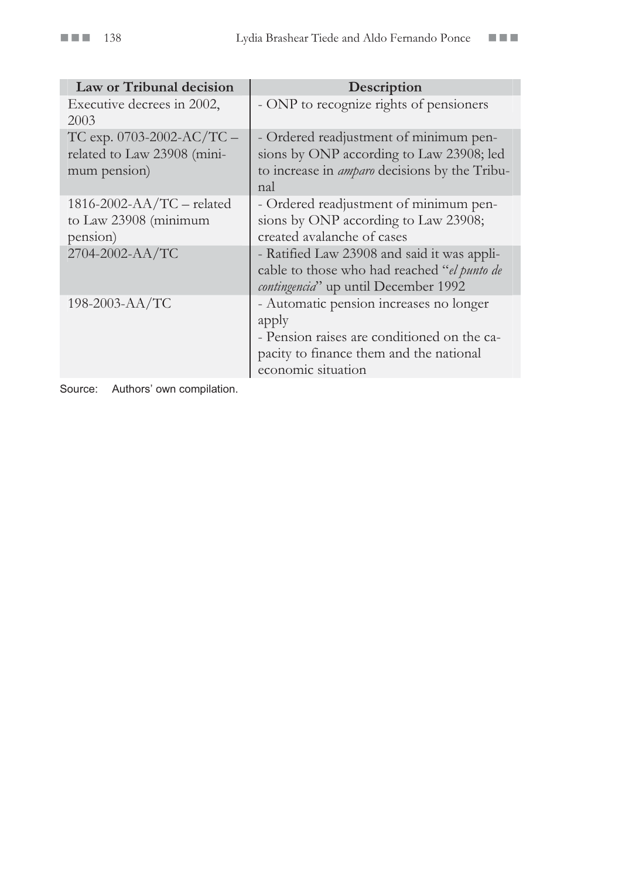| Law or Tribunal decision                                                   | Description                                                                                                                                                      |
|----------------------------------------------------------------------------|------------------------------------------------------------------------------------------------------------------------------------------------------------------|
| Executive decrees in 2002,<br>2003                                         | - ONP to recognize rights of pensioners                                                                                                                          |
| TC exp. $0703-2002-AC/TC$ –<br>related to Law 23908 (mini-<br>mum pension) | - Ordered readjustment of minimum pen-<br>sions by ONP according to Law 23908; led<br>to increase in <i>amparo</i> decisions by the Tribu-<br>nal                |
| $1816 - 2002 - AA/TC$ – related<br>to Law 23908 (minimum<br>pension)       | - Ordered readjustment of minimum pen-<br>sions by ONP according to Law 23908;<br>created avalanche of cases                                                     |
| 2704-2002-AA/TC                                                            | - Ratified Law 23908 and said it was appli-<br>cable to those who had reached "el punto de<br><i>contingencia</i> " up until December 1992                       |
| 198-2003-AA/TC                                                             | - Automatic pension increases no longer<br>apply<br>- Pension raises are conditioned on the ca-<br>pacity to finance them and the national<br>economic situation |

Source: Authors' own compilation.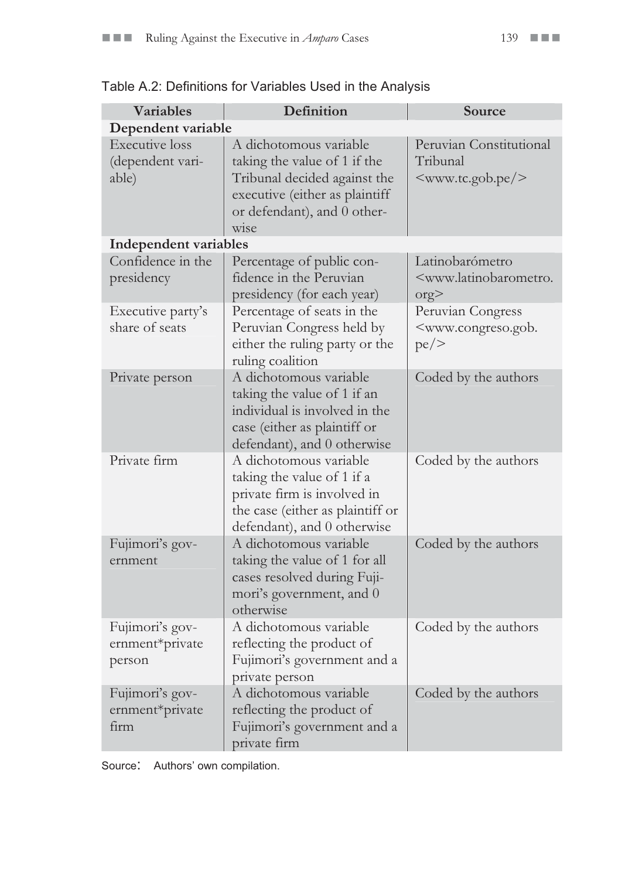| <b>Variables</b>                                   | Definition                                                                                                                                                      | Source                                                                                |  |  |  |  |  |
|----------------------------------------------------|-----------------------------------------------------------------------------------------------------------------------------------------------------------------|---------------------------------------------------------------------------------------|--|--|--|--|--|
| Dependent variable                                 |                                                                                                                                                                 |                                                                                       |  |  |  |  |  |
| <b>Executive</b> loss<br>(dependent vari-<br>able) | A dichotomous variable<br>taking the value of 1 if the<br>Tribunal decided against the<br>executive (either as plaintiff<br>or defendant), and 0 other-<br>wise | Peruvian Constitutional<br>Tribunal<br><www.tc.gob.pe></www.tc.gob.pe>                |  |  |  |  |  |
| Independent variables                              |                                                                                                                                                                 |                                                                                       |  |  |  |  |  |
| Confidence in the<br>presidency                    | Percentage of public con-<br>fidence in the Peruvian<br>presidency (for each year)                                                                              | Latinobarómetro<br><www.latinobarometro.<br>org</www.latinobarometro.<br>             |  |  |  |  |  |
| Executive party's<br>share of seats                | Percentage of seats in the<br>Peruvian Congress held by<br>either the ruling party or the<br>ruling coalition                                                   | Peruvian Congress<br><www.congreso.gob.<br><math>pe \ge</math></www.congreso.gob.<br> |  |  |  |  |  |
| Private person                                     | A dichotomous variable<br>taking the value of 1 if an<br>individual is involved in the<br>case (either as plaintiff or<br>defendant), and 0 otherwise           | Coded by the authors                                                                  |  |  |  |  |  |
| Private firm                                       | A dichotomous variable<br>taking the value of 1 if a<br>private firm is involved in<br>the case (either as plaintiff or<br>defendant), and 0 otherwise          | Coded by the authors                                                                  |  |  |  |  |  |
| Fujimori's gov-<br>ernment                         | A dichotomous variable<br>taking the value of 1 for all<br>cases resolved during Fuji-<br>mori's government, and 0<br>otherwise                                 | Coded by the authors                                                                  |  |  |  |  |  |
| Fujimori's gov-<br>ernment*private<br>person       | A dichotomous variable<br>reflecting the product of<br>Fujimori's government and a<br>private person                                                            | Coded by the authors                                                                  |  |  |  |  |  |
| Fujimori's gov-<br>ernment*private<br>firm         | A dichotomous variable<br>reflecting the product of<br>Fujimori's government and a<br>private firm                                                              | Coded by the authors                                                                  |  |  |  |  |  |

|  | Table A.2: Definitions for Variables Used in the Analysis |
|--|-----------------------------------------------------------|
|--|-----------------------------------------------------------|

Source: Authors' own compilation.